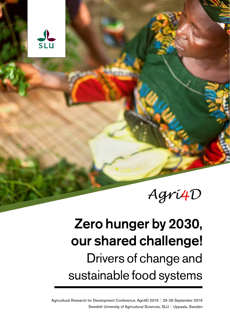

# Agri4D

# Zero hunger by 2030, our shared challenge! Drivers of change and sustainable food systems

Agricultural Research for Development Conference, Agri4D 2019 | 25-26 September 2019 Swedish University of Agricultural Sciences, SLU | Uppsala, Sweden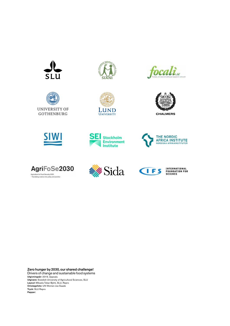























Zero hunger by 2030, our shared challenge! Drivers of change and sustainable food systems Utgivningsår: 2019, Uppsala **Utgivare:** Swedish University of Agricultural Sciences, SLU<br>**Layout:** Mikaela Tobar Björk, SLU, Repro<br>**Omslagsfoto:** UN Women Joe Saade Tryck: SLU Repro Papper: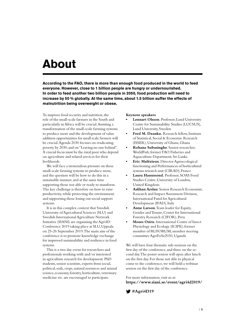### **About**

**According to the FAO, there is more than enough food produced in the world to feed everyone. However, close to 1 billion people are hungry or undernourished. In order to feed another two billion people in 2050, food production will need to increase by 50 % globally. At the same time, about 1.5 billion suffer the effects of malnutrition being overweight or obese.**

To improve food security and nutrition, the role of the small-scale farmers in the South and particularly in Africa will be crucial. Assisting a transformation of the small-scale farming systems to produce more and the development of value addition opportunities for small scale farmers will be crucial. Agenda 2030 focuses on eradicating poverty by 2030, and on "Leaving no one behind". A crucial focus must be the rural poor who depend on agriculture and related services for their livelihoods.

We will face a tremendous pressure on these small-scale farming systems to produce more, and the question will be how to do this in a sustainable manner, and at the same time supporting those not able or ready to transform. The key challenge is therefore on how to raise productivity, while protecting the environment and supporting those losing out social support systems.

It is in this complex context that Swedish University of Agricultural Sciences (SLU) and Swedish International Agriculture Network Initiative (SIANI) are organising the Agri4D Conference 2019 taking place at SLU, Uppsala on 25-26 September 2019. The main aim of the conference is to promote knowledge exchange for improved sustainability and resilience in food systems.

This is a two day event for researchers and professionals working with and/or interested in agriculture research for development. PhD students, senior scientists, experts from social, political, soils, crops, natural resources and animal science, economy, forestry, horticulture, veterinary medicine etc. are encouraged to participate.

#### **Keynote speakers**

- **• Lennart Olsson**. Professor, Lund University Centre for Sustainability Studies (LUCSUS), Lund University, Sweden
- **• Fred M. Dzanku.** Research fellow, Institute of Statistical, Social & Economic Research (ISSER), University of Ghana, Ghana
- **• Rohana Subasinghe**. Senior researcher, WorldFish; former FAO Fisheries and Aquaculture Department, Sri Lanka
- **• Eric Malézieux**. Director Agroecological functioning and Performances of horticultural systems research unit (CIRAD), France
- **• Laura Hammond.** Professor, SOAS Food Studies Centre, University of London, United Kingdom
- **• Aslihan Arslan**. Senior Research Economist, Research and Impact Assessment Division, International Fund for Agricultural Development (IFAD), Italy
- **• Anne Larson**. Team leader for Equity, Gender and Tenure, Center for International Forestry Research (CIFOR), Peru
- **• Moses Osiru**. International Centre of Insect Physiology and Ecology (ICIPE); former member of RUFORUM; member steering committee AgriFoSe2030, Uganda

We will have four thematic sub-sessions on the first day of the conference, and three on the second day. The poster session will open after lunch on the first day. For those not able to physical come to the conference, we will hold a webinar session on the first day of the conference.

For more information, visit us at: **https://www.siani.se/event/agri4d2019/**

**#Agri4D19**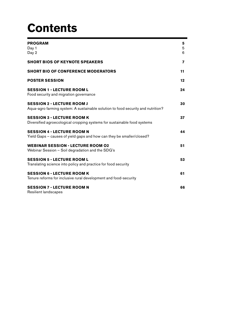## **Contents**

| <b>PROGRAM</b><br>Day 1<br>Day 2                                                                                      | 5<br>5<br>6 |
|-----------------------------------------------------------------------------------------------------------------------|-------------|
| <b>SHORT BIOS OF KEYNOTE SPEAKERS</b>                                                                                 | 7           |
| <b>SHORT BIO OF CONFERENCE MODERATORS</b>                                                                             | 11          |
| <b>POSTER SESSION</b>                                                                                                 | 12          |
| <b>SESSION 1 - LECTURE ROOM L</b><br>Food security and migration governance                                           | 24          |
| <b>SESSION 2 - LECTURE ROOM J</b><br>Aqua-agro farming system: A sustainable solution to food security and nutrition? | 30          |
| <b>SESSION 3 - LECTURE ROOM K</b><br>Diversified agroecological cropping systems for sustainable food systems         | 37          |
| <b>SESSION 4 - LECTURE ROOM N</b><br>Yield Gaps - causes of yield gaps and how can they be smaller/closed?            | 44          |
| <b>WEBINAR SESSION - LECTURE ROOM 02</b><br>Webinar Session - Soil degradation and the SDG's                          | 51          |
| <b>SESSION 5 - LECTURE ROOM L</b><br>Translating science into policy and practice for food security                   | 53          |
| <b>SESSION 6 - LECTURE ROOM K</b><br>Tenure reforms for inclusive rural development and food-security                 | 61          |
| <b>SESSION 7 - LECTURE ROOM N</b>                                                                                     | 66          |

Resilient landscapes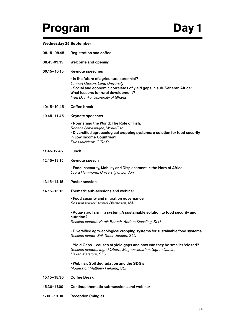## Program Day 1

#### **Wednesday 25 September**

| 08.15-08.45     | <b>Registration and coffee</b>                                                                                                                                                                                                   |
|-----------------|----------------------------------------------------------------------------------------------------------------------------------------------------------------------------------------------------------------------------------|
| 08.45-09.15     | <b>Welcome and opening</b>                                                                                                                                                                                                       |
| 09.15-10.15     | <b>Keynote speeches</b>                                                                                                                                                                                                          |
|                 | - Is the future of agriculture perennial?<br>Lennart Olsson, Lund University<br>- Social and economic correlates of yield gaps in sub-Saharan Africa:<br>What lessons for rural development?<br>Fred Dzanku, University of Ghana |
| $10:15 - 10:45$ | Coffee break                                                                                                                                                                                                                     |
| $10.45 - 11.45$ | <b>Keynote speeches</b>                                                                                                                                                                                                          |
|                 | - Nourishing the World: The Role of Fish.<br>Rohana Subasinghe, WorldFish<br>- Diversified agroecological cropping systems: a solution for food security<br>in Low Income Countries?<br>Eric Malézieux, CIRAD                    |
| 11.45-12.45     | Lunch                                                                                                                                                                                                                            |
| $12.45 - 13.15$ | Keynote speech                                                                                                                                                                                                                   |
|                 | - Food Insecurity, Mobility and Displacement in the Horn of Africa<br>Laura Hammond, University of London                                                                                                                        |
| $13.15 - 14.15$ | <b>Poster session</b>                                                                                                                                                                                                            |
| $14.15 - 15.15$ | Thematic sub-sessions and webinar                                                                                                                                                                                                |
|                 | - Food security and migration governance<br>Session leader: Jesper Bjarnesen, NAI                                                                                                                                                |
|                 | - Aqua-agro farming system: A sustainable solution to food security and<br>nutrition?                                                                                                                                            |
|                 | Session leaders: Kartik Baruah, Anders Kiessling, SLU                                                                                                                                                                            |
|                 | - Diversified agro-ecological cropping systems for sustainable food systems<br>Session leader: Erik Steen Jensen, SLU                                                                                                            |
|                 | - Yield Gaps - causes of yield gaps and how can they be smaller/closed?<br>Session leaders: Ingrid Öborn; Magnus Jirström; Sigrun Dahlin;<br>Håkan Marstorp, SLU                                                                 |
|                 | - Webinar: Soil degradation and the SDG's<br>Moderator: Matthew Fielding, SEI                                                                                                                                                    |
| $15.15 - 15.30$ | <b>Coffee Break</b>                                                                                                                                                                                                              |
| 15.30-17.00     | Continue thematic sub-sessions and webinar                                                                                                                                                                                       |
| 17.00-19.00     | <b>Reception (mingle)</b>                                                                                                                                                                                                        |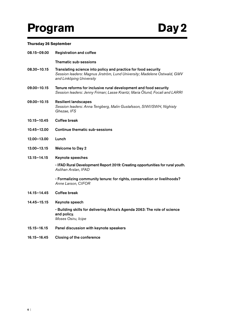## Program Day 2

#### **Thursday 26 September**

| 08.15-09.00     | <b>Registration and coffee</b> |
|-----------------|--------------------------------|
|                 | Thematic sub-sessions          |
| $0.020 - 10.15$ | Tranclating coiones into n     |

- 08.30–10.15 Translating science into policy and practice for food security *Session leaders: Magnus Jirström, Lund University; Madelene Ostwald, GMV and Linköping University*
- 09.00–10.15 Tenure reforms for inclusive rural development and food security *Session leaders: Jenny Friman; Lasse Krantz; Maria Ölund, Focali and LARRI*
- 09.00–10.15 Resilient landscapes *Session leaders: Anna Tengberg, Malin Gustafsson, SIWI/SWH, Nighisty Ghezae, IFS*
- 10.15–10.45 Coffee break
- 10.45–12.00 Continue thematic sub-sessions
- 12.00–13.00 Lunch
- 13.00–13.15 Welcome to Day 2
- 13.15–14.15 Keynote speeches

 - IFAD Rural Development Report 2019: Creating opportunities for rural youth. *Aslihan Arslan, IFAD*

 - Formalizing community tenure: for rights, conservation or livelihoods? *Anne Larson, CIFOR*

- 14.15–14.45 Coffee break
- 14.45–15.15 Keynote speech

 - Building skills for delivering Africa's Agenda 2063: The role of science and policy. *Moses Osiru, Icipe*

- 15.15–16.15 Panel discussion with keynote speakers
- 16.15–16.45 Closing of the conference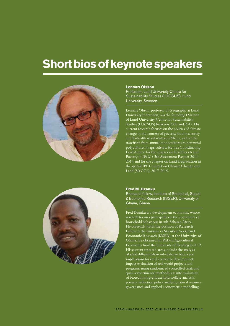### **Short bios of keynote speakers**



#### **Lennart Olsson**

Professor, Lund University Centre for Sustainability Studies (LUCSUS), Lund University, Sweden.

Lennart Olsson, professor of Geography at Lund University in Sweden, was the founding Director of Lund University Centre for Sustainability Studies (LUCSUS) between 2000 and 2017. His current research focuses on the politics of climate change in the context of poverty, food insecurity and ill-health in sub-Saharan Africa, and on the transition from annual monocultures to perennial polycultures in agriculture. He was Coordinating Lead Author for the chapter on Livelihoods and Poverty in IPCC's 5th Assessment Report 2011- 2014 and for the chapter on Land Degradation in the special IPCC report on Climate Change and Land (SRCCL), 2017-2019.



**Fred M. Dzanku** Research fellow, Institute of Statistical, Social & Economic Research (ISSER), University of Ghana, Ghana.

Fred Dzanku is a development economist whose research focuses principally on the economics of household behaviour in sub-Saharan Africa. He currently holds the position of Research Fellow at the Institute of Statistical Social and Economic Research (ISSER) at the University of Ghana. He obtained his PhD in Agricultural Economics from the University of Reading in 2012. His current research areas include the analysis of yield differentials in sub-Saharan Africa and implications for rural economic development; impact evaluation of real world projects and programs using randomized controlled trials and quasi-experimental methods; ex ante evaluation of biotechnology; household welfare analysis; poverty reduction policy analysis; natural resource governance and applied econometric modelling.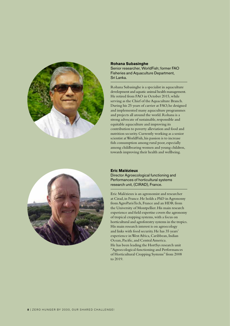

#### **Rohana Subasinghe** Senior researcher, WorldFish; former FAO Fisheries and Aquaculture Department, Sri Lanka.

Rohana Subasinghe is a specialist in aquaculture development and aquatic animal health management. He retired from FAO in October 2015, while serving as the Chief of the Aquaculture Branch. During his 25 years of carrier at FAO, he designed and implemented many aquaculture programmes and projects all around the world. Rohana is a strong advocate of sustainable, responsible and equitable aquaculture and improving its contribution to poverty alleviation and food and nutrition security. Currently working as a senior scientist at WorldFish, his passion is to increase fish consumption among rural poor, especially among childbearing women and young children, towards improving their health and wellbeing.



#### **Eric Malézieux**

Director Agroecological functioning and Performances of horticultural systems research unit, (CIRAD), France.

Eric Malézieux is an agronomist and researcher at Cirad, in France. He holds a PhD in Agronomy from AgroParisTech, France and an HDR from the University of Montpellier. His main research experience and field expertise covers the agronomy of tropical cropping systems, with a focus on horticultural and agroforestry systems in the tropics. His main research interest is on agroecology and links with food security. He has 35 years' experience in West Africa, Caribbean, Indian Ocean, Pacific, and Central America. He has been leading the HortSys research unit "Agroecological functioning and Performances of Horticultural Cropping Systems" from 2008 to 2019.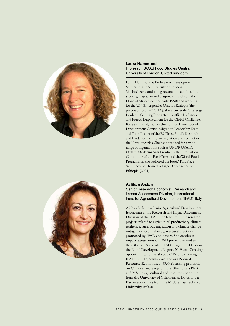



**Laura Hammond** Professor, SOAS Food Studies Centre, University of London, United Kingdom.

Laura Hammond is Professor of Development Studies at SOAS University of London. She has been conducting research on conflict, food security, migration and diasporas in and from the Horn of Africa since the early 1990s and working for the UN Emergencies Unit for Ethiopia (the precursor to UNOCHA). She is currently Challenge Leader in Security, Protracted Conflict, Refugees and Forced Displacement for the Global Challenges Research Fund, head of the London International Development Centre-Migration Leadership Team, and Team Leader of the EU Trust Fund's Research and Evidence Facility on migration and conflict in the Horn of Africa. She has consulted for a wide range of organisations such as UNDP, USAID, Oxfam, Medécins Sans Frontières, the International Committee of the Red Cross, and the World Food Programme. She authored the book 'This Place Will Become Home: Refugee Repatriation to Ethiopia' (2004).

#### **Aslihan Arslan**

Senior Research Economist, Research and Impact Assessment Division, International Fund for Agricultural Development (IFAD), Italy.

Aslihan Arslan is a Senior Agricultural Development Economist at the Research and Impact Assessment Division of the IFAD. She leads multiple research projects related to agricultural productivity, climate resilience, rural out migration and climate change mitigation potential of agricultural practices promoted by IFAD and others. She conducts impact assessments of IFAD projects related to these themes. She co-led IFAD's flagship publication the Rural Development Report 2019 on "Creating opportunities for rural youth." Prior to joining IFAD in 2017, Aslihan worked as a Natural Resource Economist at FAO, focussing primarily on Climate-smart Agriculture. She holds a PhD and MSc in agricultural and resource economics from the University of California at Davis; and a BSc in economics from the Middle East Technical University, Ankara.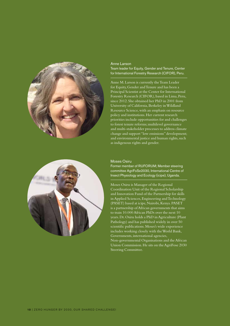

#### Anne Larson

Team leader for Equity, Gender and Tenure, Center for International Forestry Research (CIFOR), Peru.

Anne M. Larson is currently the Team Leader for Equity, Gender and Tenure and has been a Principal Scientist at the Center for International Forestry Research (CIFOR), based in Lima, Peru, since 2012. She obtained her PhD in 2001 from University of California, Berkeley in Wildland Resource Science, with an emphasis on resource policy and institutions. Her current research priorities include opportunities for and challenges to forest tenure reforms; multilevel governance and multi-stakeholder processes to address climate change and support "low emissions" development; and environmental justice and human rights, such as indigenous rights and gender.



#### Moses Osiru

Former member of RUFORUM; Member steering committee AgriFoSe2030, International Centre of Insect Physiology and Ecology (icipe), Uganda.

Moses Osiru is Manager of the Regional Coordination Unit of the Regional Scholarship and Innovation Fund of the Partnership for skills in Applied Sciences, Engineering and Technology (PASET) based at icipe, Nairobi, Kenya. PASET is a partnership of African governments that aims to train 10.000 African PhDs over the next 10 years. Dr. Osiru holds a PhD in Agriculture (Plant Pathology) and has published widely in over 50 scientific publications. Moses's wide experience includes working closely with the World Bank, Governments, international agencies, Non-governmental Organisations and the African Union Commission. He sits on the AgriFose 2030 Steering Committee.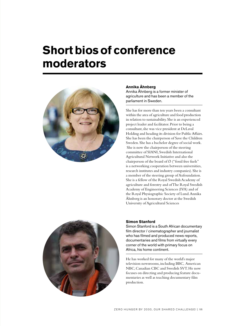### **Short bios of conference moderators**



#### **Annika Åhnberg**

Annika Åhnberg is a former minister of agriculture and has been a member of the parliament in Sweden.

She has for more than ten years been a consultant within the area of agriculture and food production in relation to sustainability. She is an experienced project leader and facilitator. Prior to being a consultant, she was vice president at DeLaval Holding and heading its division for Public Affairs. She has been the chairperson of Save the Children Sweden. She has a bachelor degree of social work. She is now the chairperson of the steering committee of SIANI, Swedish International Agricultural Network Initiative and also the chairperson of the board of f3 ("fossil free fuels" is a networking cooperation between universities, research institutes and industry companies). She is a member of the steering group of Axfoundation. She is a fellow of the Royal Swedish Academy of agriculture and forestry and of The Royal Swedish Academy of Engineering Sciences (IVA) and of the Royal Physiographic Society of Lund. Annika Åhnberg is an honorary doctor at the Swedish University of Agricultural Sciences



#### **Simon Stanford**

Simon Stanford is a South African documentary film director / cinematographer and journalist who has filmed and produced news reports, documentaries and films from virtually every corner of the world with primary focus on Africa, his home continent.

He has worked for many of the world's major television newsrooms, including BBC, American NBC, Canadian CBC and Swedish SVT. He now focuses on directing and producing feature documentaries as well as teaching documentary film production.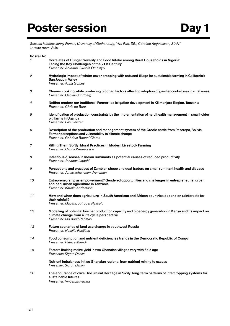### Poster session Day 1

*Session leaders: Jenny Friman, University of Gothenburg; Ylva Ran, SEI; Caroline Augustsson, SIANI* Lecture room: Aula

#### *Poster No*

| 1              | Correlates of Hunger Severity and Food Intake among Rural Households in Nigeria:<br>Facing the Key Challenges of the 21st Century<br>Presenter: Abiodun Olusola Omotayo                          |
|----------------|--------------------------------------------------------------------------------------------------------------------------------------------------------------------------------------------------|
| $\overline{2}$ | Hydrologic impact of winter cover cropping with reduced tillage for sustainable farming in California's<br>San Joaquin Valley<br>Presenter: Anna Gomes                                           |
| 3              | Cleaner cooking while producing biochar: factors affecting adoption of gasifier cookstoves in rural areas<br>Presenter: Cecilia Sundberg                                                         |
| 4              | Neither modern nor traditional: Farmer-led irrigation development in Kilimanjaro Region, Tanzania<br>Presenter: Chris de Bont                                                                    |
| 5              | Identification of production constraints by the implementation of herd health management in smallholder<br>pig farms in Uganda<br>Presenter: Elin Gertzell                                       |
| 6              | Description of the production and management system of the Creole cattle from Pasorapa, Bolivia.<br>Farmer perceptions and vulnerability to climate change<br>Presenter: Gabriela Bottani Claros |
| 7              | Killing Them Softly: Moral Practices in Modern Livestock Farming<br>Presenter: Hanna Wernersson                                                                                                  |
| 8              | Infectious diseases in Indian ruminants as potential causes of reduced productivity<br>Presenter: Johanna Lindahl                                                                                |
| 9              | Perceptions and practices of Zambian sheep and goat traders on small ruminant health and disease<br>Presenter: Jonas Johansson Wensman                                                           |
| 10             | Entrepreneurship as empowerment? Gendered opportunities and challenges in entrepreneurial urban<br>and peri-urban agriculture in Tanzania<br>Presenter: Karolin Andersson                        |
| 11             | How and when does agriculture in South American and African countries depend on rainforests for<br>their rainfall?<br>Presenter: Maganizo Kruger Nyasulu                                         |
| 12             | Modelling of potential biochar production capacity and bioenergy generation in Kenya and its impact on<br>climate change from a life cycle perspective<br>Presenter: Md Aquif Rahman             |
| 13             | Future scenarios of land use change in southwest Russia<br>Presenter: Natalija Pustilnik                                                                                                         |
| 14             | Food consumption and nutrient deficiencies trends in the Democratic Republic of Congo<br>Presenter: Patrice Mirindi                                                                              |
| 15             | Factors limiting maize yield in two Ghanaian villages vary with field age<br>Presenter: Sigrun Dahlin                                                                                            |
|                | Nutrient imbalances in two Ghanaian regions: from nutrient mining to excess<br>Presenter: Sigrun Dahlin                                                                                          |
| 16             | The endurance of olive Biocultural Heritage in Sicily: long-term patterns of intercropping systems for<br>sustainable futures.<br>Presenter: Vincenza Ferrara                                    |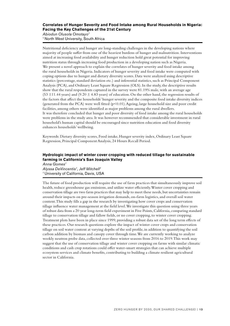#### **Correlates of Hunger Severity and Food Intake among Rural Households in Nigeria: Facing the Key Challenges of the 21st Century**

*Abiodun Olusola Omotayo1* <sup>1</sup> North West University, South Africa

Nutritional deficiency and hunger are long-standing challenges in the developing nations where majority of people suffer from one of the heaviest burdens of hunger and malnutrition. Interventions aimed at increasing food availability and hunger reduction hold great potential for improving nutrition status through increasing food production in a developing nation such as Nigeria. We present a novel approach to explain the correlates of hunger severity and food intake among the rural households in Nigeria. Indicators of hunger severity and food intake were computed with coping options due to hunger and dietary diversity scores. Data were analyzed using descriptive statistics (percentage, standard deviation etc.) and inferential statistics, such as Principal Component Analysis (PCA), and Ordinary Least Square Regression (OLS). In the study, the descriptive results show that the rural respondents captured in the survey were 81.19% male, with an average age  $(53 \pm 11.44 \text{ years})$  and  $(9.20 \pm 4.83 \text{ years})$  of education. On the other hand, the regression results of the factors that affect the households' hunger severity and the composite food intake diversity indices (generated from the PCA) were well fitted ( $p<0.01$ ). Ageing, large household size and poor credit facilities, among others were identified as major problems among the rural dwellers. It was therefore concluded that hunger and poor diversity of food intake among the rural households were problems in the study area. It was however recommended that considerable investment in rural household's human capital should be encouraged since nutrition education and food diversity enhances households' wellbeing.

Keywords: Dietary diversity scores, Food intake, Hunger severity index, Ordinary Least Square Regression, Principal Component Analysis, 24 Hours Recall Period.

#### **Hydrologic impact of winter cover cropping with reduced tillage for sustainable farming in California's San Joaquin Valley**

*Anna Gomes1 Alyssa DeVincentis1, Jeff Mitchell1* 1 University of California, Davis, USA

The future of food production will require the use of farm practices that simultaneously improve soil health, reduce greenhouse gas emissions, and utilize water efficiently. Winter cover cropping and conservation tillage are two farm practices that may help to meet these needs, but uncertainties remain around their impacts on pre-season irrigation demands, on-farm logistics, and overall soil water content. This study fills a gap in the research by investigating how cover crops and conservation tillage influence water management at the field level. We investigate this question using three years of robust data from a 20 year long-term field experiment in Five Points, California, comparing standard tillage to conservation tillage and fallow fields, or no cover cropping, to winter cover cropping. Treatment plots have been in place since 1999, providing a robust data set of the long term effects of these practices. Our research questions explore the impact of winter cover crops and conservation tillage on soil water content at varying depths of the soil profile, in addition to quantifying the soil carbon addition by biomass and canopy cover through time. We are currently working to analyze weekly neutron probe data, collected over three winter seasons from 2016 to 2019. This work may suggest that the use of conservation tillage and winter cover cropping on farms with similar climatic conditions and cash crop rotations could offer water-smart strategies that can achieve multiple ecosystem services and climate benefits, contributing to building a climate resilient agricultural sector in California.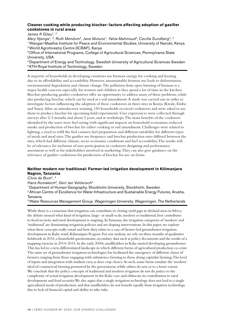#### **Cleaner cooking while producing biochar: factors affecting adoption of gasifier cookstoves in rural areas**

James K Gitau<sup>1</sup>, <sup>2</sup> *Mary Njenga1, 2, Ruth Mendum3, Jane Mutune1, Yahia Mahmoud4, Cecilia Sundberg4, 5* 1 Wangari Maathai Institute for Peace and Environmental Studies, University of Nairobi, Kenya 2 World Agroforestry Centre (ICRAF), Kenya

3 Office of International Programs, College of Agricultural Sciences, Pennsylvania State University, USA

4 Department of Energy and Technology, Swedish University of Agricultural Sciences Sweden <sup>5</sup> KTH Royal Institute of Technology, Sweden

A majority of households in developing countries use biomass energy for cooking and heating due to its affordability and accessibility. However, unsustainable biomass use leads to deforestation, environmental degradation and climate change. The pollution from open burning of biomass is a major health concern especially for women and children as they spend a lot of time in the kitchen. Biochar-producing gasifier cookstoves offer an opportunity to address many of these problems, while also producing biochar, which can be used as a soil amendment. A study was carried out in order to investigate factors influencing the adoption of these cookstoves in three sites in Kenya (Kwale, Embu and Siaya). After an introductory training, 150 households received cookstoves and were asked to use them to produce biochar for upcoming field experiments. User experiences were collected through surveys after 2-3 months and about 2 years, and at workshops. The main benefits of the cookstove identified by the users were fuel saving with significant impacts on household economies, reduced smoke and production of biochar for either cooking or soil amendment. Challenges were related to lighting, a need to refill the fuel canister, fuel preparation and different suitability for different types of meals and meal sizes. The gasifier use frequency and biochar production rates differed between the sites, which had different climate, socio-economic conditions and fuel accessibility. The results will be of relevance for inclusion of user participation in cookstove designing and performance assessment as well as for stakeholders involved in marketing. They can also give guidance on the relevance of gasifier cookstoves for production of biochar for use on farms.

#### **Neither modern nor traditional: Farmer-led irrigation development in Kilimanjaro Region, Tanzania**

*Chris de Bont1, 2*

*Hans Komakech2, Gert Jan Veldwisch3*

1 Department of Human Geography, Stockholm University, Stockholm, Sweden

<sup>2</sup> African Centre of Excellence for Water Infrastructure and Sustainable Energy Futures, Arusha, Tanzania

3 Water Resources Management Group, Wageningen University, Wageningen, The Netherlands

While there is a consensus that irrigation can contribute to closing yield gaps in dryland areas in Africa, the debate around what kind of irrigation, large- or small-scale, modern or traditional, best contributes to food security and rural development is ongoing. In Tanzania, the irrigation categories of 'modern' and 'traditional' are dominating irrigation policies and are shaping interventions. In this paper, we explore what these concepts really entail and how they relate to a case of farmer-led groundwater irrigation development in Kahe ward, Kilimanjaro Region. For our analysis, we rely on three months of qualitative fieldwork in 2016, a household questionnaire, secondary data such as policy documents and the results of a mapping exercise in 2014–2015. In the early 2000s, smallholders in Kahe started developing groundwater. This has led to a new, differentiated landscape in which different forms of agricultural production co-exist. The same set of groundwater irrigation technologies has facilitated the emergence of different classes of farmers, ranging from those engaging with subsistence farming to those doing capitalist farming. The level of inputs and integration with markets vary, as does crop choice. As such, some farms emulate the 'modern' ideal of commercial farming promoted by the government, while others do not, or to a lesser extent. We conclude that the policy concepts of traditional and modern irrigation do not do justice to the complexity of actual irrigation development in the Kahe case, and obfuscate its contribution to rural development and food security. We also argue that a single irrigation technology does not lead to a single agricultural mode of production, and that smallholders do not benefit equally from irrigation technology due to lack of financial capital and ability to take risks.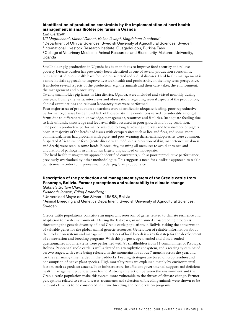#### **Identification of production constraints by the implementation of herd health management in smallholder pig farms in Uganda**

*Elin Gertzell1*

*Ulf Magnusson1, Michel Dione2, Kokas Ikwap3, Magdalena Jacobson1*

1 Department of Clinical Sciences, Swedish University of Agricultural Sciences, Sweden

2 International Livestock Research Institute, Ouagadougou, Burkina Faso

<sup>3</sup> College of Veterinary Medicine, Animal Resources and Biosecurity, Makerere University, Uganda

Smallholder pig production in Uganda has been in focus to improve food security and relieve poverty. Disease burden has previously been identified as one of several production constraints, but earlier studies on health have focused on selected individual diseases. Herd health management is a more holistic approach to improve livestock health and productivity in the long term perspective. It includes several aspects of the production; e.g. the animals and their care-taker, the environment, the management and biosecurity.

Twenty smallholder pig farms in Lira district, Uganda, were included and visited monthly during one year. During the visits, interviews and observations regarding several aspects of the production, clinical examinations and relevant laboratory tests were performed.

Four major areas of production constraints were identified; inadequate feeding, poor reproductive performance, disease burden, and lack of biosecurity. The conditions varied considerably amongst farms due to differences in knowledge, management, resources and facilities. Inadequate feeding due to lack of funds, knowledge and feed availability resulted in poor growth and body condition. The poor reproductive performance was due to long farrowing intervals and low number of piglets born. A majority of the herds had issues with ectoparasites such as lice and fleas, and some, more commercial, farms had problems with piglet and post-weaning diarrhea. Endoparasites were common. Suspected African swine fever (acute disease with reddish discoloration of skin, inappetence, weakness and death) were seen in some herds. Biosecurity, meaning all measures to avoid entrance and circulation of pathogens in a herd, was largely unpracticed or inadequate.

The herd health management approach identified constraints, such as poor reproductive performance, previously overlooked by other methodologies. This suggests a need for a holistic approach to tackle constraints in order to improve smallholder pig farm productivity.

#### **Description of the production and management system of the Creole cattle from Pasorapa, Bolivia. Farmer perceptions and vulnerability to climate change**

*Gabriela Bottani Claros1*

*Elisabeth Jonas2, Erling Strandberg2*

1 Universidad Mayor de San Simon – UMSS, Bolivia

<sup>2</sup> Animal Breeding and Genetics Department, Swedish University of Agricultural Sciences, Sweden

Creole cattle populations constitute an important reservoir of genes related to climate resilience and adaptation to harsh environments. During the last years, an unplanned crossbreeding process is threatening the genetic diversity of local Creole cattle populations in Bolivia, risking the conservation of valuable genes for the global animal genetic resources. Generation of reliable information about the production systems and management practices of local breeds is a key first step for the development of conservation and breeding programs. With this purpose, open-ended and closed-ended questionnaires and interviews were performed with 81 smallholders from 11 communities of Pasorapa, Bolivia. Pasorapa Creole cattle is well-adapted to a xerophytic ecosystem, and a rearing system based on two stages, with cattle being released in the mountains for about 7 months across the year, and for the remaining time herded in the paddocks. Feeding strategies are based on crop residues and consumption of native plant species. High mortality rates are explained mainly by environmental factors, such as predator attacks. Poor infrastructure, insufficient governmental support and deficient health management practices were found. A strong interaction between the environment and the Creole cattle population make this system more vulnerable to the threats of climate change. Farmer perceptions related to cattle diseases, treatments and selection of breeding animals were shown to be relevant elements to be considered in future breeding and conservation programs.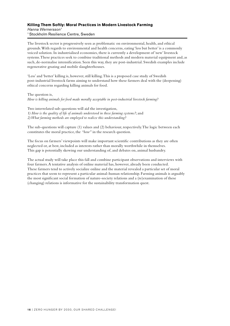#### **Killing Them Softly: Moral Practices in Modern Livestock Farming** *Hanna Wernersson1* 1 Stockholm Resilience Centre, Sweden

The livestock sector is progressively seen as problematic on environmental, health, and ethical grounds. With regards to environmental and health concerns, eating 'less but better' is a commonly voiced solution. In industrialised economies, there is currently a development of 'new' livestock systems. These practices seek to combine traditional methods and modern material equipment and, as such, de-normalise intensification. Seen this way, they are post-industrial. Swedish examples include regenerative grazing and mobile slaughterhouses.

'Less' and 'better' killing is, however, still killing. This is a proposed case study of Swedish post-industrial livestock farms aiming to understand how these farmers deal with the (deepening) ethical concerns regarding killing animals for food.

The question is, *How is killing animals for food made morally acceptable in post-industrial livestock farming?*

Two interrelated sub-questions will aid the investigation, *1) How is the quality of life of animals understood in these farming systems?*; and *2) What farming methods are employed to realize this understanding?*

The sub-questions will capture (1) values and (2) behaviour, respectively. The logic between each constitutes the moral practice, the *"how"* in the research question.

The focus on farmers' viewpoints will make important scientific contributions as they are often neglected or, at best, included as interests rather than morally worthwhile in themselves. This gap is potentially skewing our understanding of, and debates on, animal husbandry.

The actual study will take place this fall and combine participant observations and interviews with four farmers. A tentative analysis of online material has, however, already been conducted. These farmers tend to actively socialize online and the material revealed a particular set of moral practices that seem to represent a particular animal-human relationship. Farming animals is arguably the most significant social formation of nature-society relations and a (re)examination of these (changing) relations is informative for the sustainability transformation quest.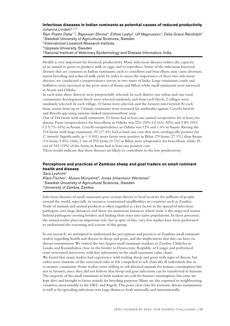#### **Infectious diseases in Indian ruminants as potential causes of reduced productivity** *Johanna Lindahl1, 2, 3*

*Ram Pratim Deka<sup>1, 2</sup>, Rajeswari Shome<sup>4</sup>, Eithne Leahy<sup>2</sup>, Ulf Magnusson<sup>1</sup>, Delia Grace Randolph<sup>2</sup>* 1 Swedish University of Agricultural Sciences, Sweden

2 International Livestock Research Institute

3 Uppsala University, Sweden

4 National Institute of Veterinary Epidemiology and Disease Informatics, India

Health is very important for livestock productivity. Many infectious diseases reduce the capacity of an animal to grow, to produce milk or eggs, and to reproduce. Some of the infectious bacterial diseases that are common in Indian ruminants, such as coxiellosis and brucellosis, may cause abortion, repeat breeding and reduced milk yield. In order to assess the importance of these two infectious diseases, we conducted a seroprevalence survey in two states of India. Large ruminants, cattle and buffaloes, were surveyed in the poor states of Assam and Bihar, while small ruminants were surveyed in Assam and Odisha.

In each state, three districts were purposefully selected. In each district one urban and one rural community development block were selected randomly, and from each block, 2 villages were randomly selected. In each village, 10 farms were selected, and the farmers interviewed. At each farm, serum from up to 3 female ruminants were screened for antibodies against *Coxiella burnetti* and *Brucella* spp using enzyme-linked immunosorbent assay.

Out of 244 farms with small ruminants, 53 farms had at least one animal seropositive for at least one disease. Farm seroprevalence for brucellosis in Odisha was 22% (95% CI 16%-30%) and 9.8% (95% CI 5.7%-16%) in Assam. *Coxiella* seroprevalence in Odisha was 12% and 1.6% in Assam. Among the 534 farms with large ruminants, 93 (17.4%) had at least one cow that were serologically positive for *C. burnetti*. Significantly (p < 0.001) more farms were positive in Bihar (79 farms, 27.1%,) than Assam (14 farms, 5.8%). Only 2 out of 292 farms (0.7%) in Bihar were seropositive for brucellosis, while 45 out of 242 (19%) of the farms in Assam had at least one positive cow.

These results indicate that these diseases are likely to contribute to the low productivity.

#### **Perceptions and practices of Zambian sheep and goat traders on small ruminant health and disease**

*Sara Lysholm1*

*Klara Fischer1, Musso Munyeme2, Jonas Johansson Wensman1* 1 Swedish University of Agricultural Sciences, Sweden 2 University of Zambia, Zambia

Infectious diseases of small ruminants pose serious threats to food security for millions of people around the world, especially to resource-constrained smallholders in countries such as Zambia. Trade of animals and animal products is often regarded as a key factor in the spread of infectious pathogens over large distances, and there are numerous instances where trade is the suspected reason behind pathogens crossing borders and finding their ways into naïve populations. In these processes, the animal trader plays an important role, but in spite of this, very few studies have been performed to understand the reasoning and actions of this group.

In our research, we attempted to understand the perceptions and practices of Zambian small ruminant traders regarding health and disease in sheep and goats, and the implications that this can have on disease transmission. We visited the two largest small ruminant markets in Zambia, Chibolya in Lusaka and Kasumbalesa close to the border to Democratic Republic of Congo, and performed semi-structured interviews with key informants in the small ruminant value chain. We found that many traders had experience with trading sheep and goats with signs of disease, but either were unaware of the associated risks or felt compelled to sell clinically ill individuals due to economic constraints. Some traders were willing to sell diseased animals for human consumption but not to farmers, since they did not believe that sheep and goat infections can be transferred to humans. The majority of the small ruminants in both markets are sold for human consumption, but some are kept alive and brought to farms, mainly for breeding purposes. Many are also exported to neighbouring countries, most notably to the DRC and Angola. This poses clear risks for zoonotic disease transmission as well as for spreading infections over large distances, both nationally and internationally.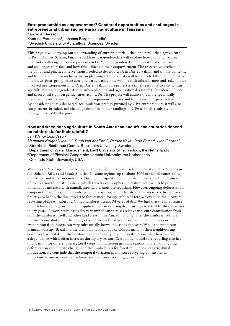#### **Entrepreneurship as empowerment? Gendered opportunities and challenges in entrepreneurial urban and peri-urban agriculture in Tanzania**

Karolin Andersson<sup>1</sup> Katarina Pettersson<sup>1</sup>, Johanna Bergman Lodin<sup>1</sup> 1 Swedish University of Agricultural Sciences, Sweden

This project will develop our understanding of entrepreneurial urban and peri-urban agriculture (UPA) in Dar-es-Salaam, Tanzania and how it is gendered. It will explore how and why women, men and youth engage as entrepreneurs in UPA, which gendered and generational opportunities and challenges they face and how this influences their empowerment. The research will reflect on the policy and practice interventions needed to develop UPA in Dar-es-Salaam and similar contexts, and to integrate it into inclusive urban planning activities. Data will be collected through qualitative interviews, focus group discussions and participatory observations with urban farmers and stakeholders involved in entrepreneurial UPA in Dar-es-Salaam. The project is a timely response to calls within agricultural research, gender studies, urban planning and organizational research to broaden empirical and theoretical rigor on gender in African UPA. The project will address the more specifically identified needs to research UPA in its entrepreneurial forms and from a feminist perspective. By considering it as a deliberate accumulation strategy pursued by UPA entrepreneurs, it will also complement, broaden, and challenge dominant understandings of UPA as solely a subsistence strategy pursued by the poor.

#### **How and when does agriculture in South American and African countries depend on rainforests for their rainfall?**

*Lan Wang-Erlandsson1*

*Maganizo Kruger Nyasulu<sup>1</sup>, Ruud van der Ent<sup>2, 3</sup>, Patrick Keys<sup>4</sup>, Ingo Fetzer<sup>1</sup>, Line Gordon<sup>1</sup>* 1 Stockholm Resilience Centre, Stockholm University, Sweden

2 Department of Water Management, Delft University of Technology, the Netherlands

3 Department of Physical Geography, Utrecht University, the Netherlands

4 Colorado State University, USA

With over 90% of agriculture being rainfed, rainfall is essential for food security and livelihoods in sub-Saharan Africa and South America. In some regions, up to about 50 % of rainfall comes from the Congo and Amazon rainforests. Through transpiration, the forests supply considerable amount of evaporation to the atmosphere, which travels as atmospheric moisture with winds to provide downwind land areas with rainfall, through i.e. moisture recycling. However, ongoing deforestation dampens the water cycle and prolongs the dry season, while climate change increases drought and fire risks. What do the dual threats to forests mean for agriculture? Here, we examine the moisture recycling of the Amazon and Congo rainforests using 34 years of data. We find that the importance of both forests as regional rainfall suppliers increases during dry seasons, a role that further increases in dry years. However, while this dry year amplification raises relative moisture contribution from both the rainforest itself and other land areas in the Amazon, it only raises the rainforest relative moisture contribution in the Congo. Country-level analyses show that rainfall dependence on evaporation from forests can vary substantially between seasons and years. While the rainforests primarily occupy Brazil and the Democratic Republic of Congo, many of their neighbouring countries have a stake in the rainforest as they heavily rely on forest moisture for their rainfall, a dependence which often increases during dry seasons. Seasonality in moisture recycling also has implications for different agricultural crops with different growing seasons. In view of ongoing deforestation and climate change, and the implications for forest resilience and agricultural production, we conclude that the temporal variation in moisture recycling constitutes an important feature to consider in forest and moisture recycling governance.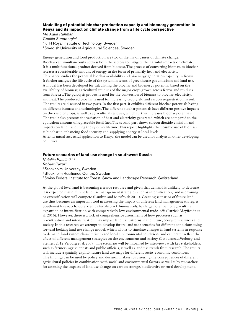#### **Modelling of potential biochar production capacity and bioenergy generation in Kenya and its impact on climate change from a life cycle perspective**

*Md Aquif Rahman1 Cecilia Sundberg1, 2* <sup>1</sup> KTH Royal Institute of Technology, Sweden 2 Swedish University of Agricultural Sciences, Sweden

Energy generation and food production are two of the major causes of climate change. Biochar can simultaneously address both the sectors to mitigate the harmful impacts on climate. It is a multifunctional product derived from biomass. The process of converting biomass to biochar releases a considerable amount of energy in the form of primarily heat and electricity. This paper studies the potential biochar availability and bioenergy generation capacity in Kenya. It further analyses the life cycle of the system in terms of greenhouse gas emissions and land use. A model has been developed for calculating the biochar and bioenergy potential based on the availability of biomass; agricultural residues of the major crops grown across Kenya and residues from forestry. The pyrolysis process is used for the conversion of biomass to biochar, electricity, and heat. The produced biochar is used for increasing crop yield and carbon sequestration in soil. The results are discussed in two parts. In the first part, it exhibits different biochar potentials basing on different biomass and technologies. The different biochar potentials have different positive impacts on the yield of crops, as well as agricultural residues, which further increases biochar potentials. The result also presents the variation of heat and electricity generated, which are compared to the equivalent amount of replaceable fossil fuel. The second part shows carbon dioxide emission and impacts on land use during the system's lifetime. This report highlights the possible use of biomass as biochar in enhancing food security and supplying energy at local levels. After its initial successful application to Kenya, the model can be used for analysis in other developing countries.

#### **Future scenarios of land use change in southwest Russia**

*Nataliia Pustilnik1, 2 Robert Pazur3* <sup>1</sup> Stockholm University, Sweden 2 Stockholm Resilience Centre, Sweden 3 Swiss Federal Institute for Forest, Snow and Landscape Research, Switzerland

At the global level land is becoming a scarce resource and given that demand is unlikely to decrease it is expected that different land use management strategies, such as intensification, land use zoning or extensification will compete (Lambin and Meyfroidt 2011). Creating scenarios of future land use thus becomes an important tool in assessing the impact of different land management strategies. Southwest Russia, characterized by fertile black humus soils, has large potential for agricultural expansion or intensification with comparatively low environmental trade-offs (Patrick Meyfroidt et al. 2016). However, there is a lack of comprehensive assessments of how processes such as re-cultivation and intensification may impact land use patterns in the future, ecosystem services and society. In this research we attempt to develop future land use scenarios for different conditions using forward looking land use change model, which allows to simulate changes in land systems in response to demand, land system characteristics and local environmental conditions and can better reflect the effect of different management strategies on the environment and society (Letourneau, Verburg, and Stehfest 2012; Verburg et al. 2009). The scenarios will be informed by interviews with key stakeholders, such as farmers, agriscientists and public officials, as well as land use trends from research. The results will include a spatially explicit future land use maps for different socio-economic conditions. The findings can be used by policy and decision makers for assessing the consequences of different agricultural policies in combination with social and environmental factors, as well as by researchers for assessing the impacts of land use change on carbon storage, biodiversity or rural development.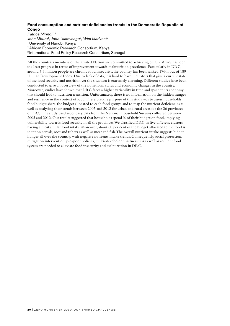#### **Food consumption and nutrient deficiencies trends in the Democratic Republic of Congo**

*Patrice Mirindi1, 2 John Mburu1, John Ulimwengu3, Wim Marivoet3* 1 University of Nairobi, Kenya 2 African Economic Research Consortium, Kenya 3 International Food Policy Research Consortium, Senegal

All the countries members of the United Nation are committed to achieving SDG 2. Africa has seen the least progress in terms of improvement towards malnutrition prevalence. Particularly in DRC, around 4.5 million people are chronic food insecurity, the country has been ranked 176th out of 189 Human Development Index. Due to lack of data, it is hard to have indicators that give a current state of the food security and nutrition yet the situation is extremely alarming. Different studies have been conducted to give an overview of the nutritional status and economic changes in the country. Moreover, studies have shown that DRC faces a higher variability in time and space in its economy that should lead to nutrition transition. Unfortunately, there is no information on the hidden hunger and resilience in the context of food. Therefore, the purpose of this study was to assess households food budget share, the budget allocated to each food groups and to map the nutrient deficiencies as well as analysing their trends between 2005 and 2012 for urban and rural areas for the 26 provinces of DRC. The study used secondary data from the National Household Surveys collected between 2005 and 2012. Our results suggested that households spend ¾ of their budget on food, implying vulnerability towards food security in all the provinces. We classified DRC in five different clusters having almost similar food intake. Moreover, about 60 per cent of the budget allocated to the food is spent on cereals, root and tubers as well as meat and fish. The overall nutrient intake suggests hidden hunger all over the country, with negative nutrients intake trends. Consequently, social protection, mitigation intervention, pro-poor policies, multi-stakeholder partnerships as well as resilient food system are needed to alleviate food insecurity and malnutrition in DRC.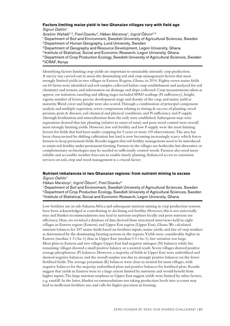#### **Factors limiting maize yield in two Ghanaian villages vary with field age** *Sigrun Dahlin1*

*Ibrahim Wahab2, 3, Fred Dzanku4, Håkan Marstorp1, Ingrid Öborn5, 6*

- 1 Department of Soil and Environment, Swedish University of Agricultural Sciences, Sweden
- 2 Department of Human Geography, Lund University, Sweden
- <sup>3</sup> Department of Geography and Resource Development, Legon University, Ghana
- 4 Institute of Statistical, Social and Economic Research, Legon University, Ghana
- 5 Department of Crop Production Ecology, Swedish University of Agricultural Sciences, Sweden

Identifying factors limiting crop yields are important to sustainably intensify crop production. A survey was carried out to assess the dominating soil and crop-management factors that most strongly limited yields in two villages in Eastern Region, Ghana, in 2016. Eighty-seven maize fields on 60 farms were identified and soil samples collected before crop establishment and analysed for soil chemistry and texture, and information on drainage and slope collected. Crop measurements taken at approx. ear initiation, tasseling and silking stages included SPAD readings (N sufficiency), height, vigour, number of leaves, precise development stage and density of the crop, and maize yield at maturity. Weed cover and height were also scored. Through a combination of principal component analysis and multiple regression, seven components relating to timing & success of planting, weed pressure, pests & diseases, soil chemical and physical conditions, and N sufficiency and P supply (through fertilization and mineralization from the soil) were established. Subsequent step-wise regressions showed that late planting (relative to onset of rains) and poor weed control were overall most strongly limiting yields. However, low soil fertility and low P supply were the most limiting factors for fields that had been under cropping for 5 years or more (49 observations). The area has been characterized by shifting cultivation but land is now becoming increasingly scarce which forces farmers to keep permanent fields. Results suggest that soil fertility management need to be introduced to retain soil fertility under permanent farming. Farmers in the villages use herbicides but alternative or complementary technologies may be needed to sufficiently control weeds. Farmers also need more reliable and accessible weather forecasts to enable timely planting. Enhanced access to extension services on soil, crop and weed management is a crucial factor.

#### **Nutrient imbalances in two Ghanaian regions: from nutrient mining to excess**

#### *Sigrun Dahlin1*

*Håkan Marstorp1, Ingrid Öborn2, Fred Dzanku3*

1 Department of Soil and Environment, Swedish University of Agricultural Sciences, Sweden 2 Department of Crop Production Ecology, Swedish University of Agricultural Sciences, Sweden <sup>3</sup> Institute of Statistical, Social and Economic Research, Legon University, Ghana

Low fertilizer use in sub-Saharan Africa and subsequent nutrient mining in crop production systems have been acknowledged as contributing to declining soil fertility. However, this is not universally true and blanket recommendations may lead to nutrient surpluses locally and poor nutrient use efficiency. Here, we revisited a database of data derived from structured interviews held in eight villages in Eastern region (Eastern) and Upper East region (Upper East), Ghana. We calculated nutrient balances for 297 maize fields based on fertilizer inputs, maize yields, and fate of crop residues as determined by the dominating farming systems in the regions. Yields were considerably higher in Eastern (median 1.3 t ha-1) than in Upper East (median 0.5 t ha-1), but variation was large. Most plots in Eastern and two villages Upper East had negative nitrogen (N) balances while the remaining villages showed a small positive balance or a neutral result. Seven villages showed positive average phosphorous (P) balances. However, a majority of fields in Upper East were unfertilised and showed negative balances, and the overall surplus was due to strongly positive balances on the fewer fertilised fields. The average potassium (K) balances were close to neutral for most villages, with negative balances for the majority unfertilised plots and positive balances for fertilised plots. Results suggest that yields in Eastern were to a large extent limited by nutrients and would benefit from higher inputs. The large nutrient surpluses in Upper East suggest yields were limited by other factors, e.g. rainfall. In the latter, blanket recommendations not taking production levels into account may lead to inefficient fertilizer use, and calls for higher precision in farming.

<sup>6</sup> ICRAF, Kenya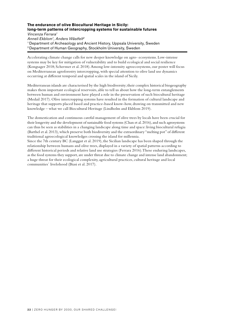#### **The endurance of olive Biocultural Heritage in Sicily: long-term patterns of intercropping systems for sustainable futures**

*Vincenza Ferrara1*

*Anneli Ekblom1, Anders Wästfelt2*

<sup>1</sup> Department of Archeaology and Ancient History, Uppsala University, Sweden 2 Department of Human Geography, Stockholm University, Sweden

Accelerating climate change calls for new deeper knowledge on agro- ecosystems. Low-intense systems may be key for mitigation of vulnerability and to build ecological and social resilience (Kongsager 2018; Schermer et al. 2018). Among low-intensity agroecosystems, our poster will focus on Mediterranean agroforestry intercropping, with special attention to olive land use dynamics occurring at different temporal and spatial scales in the island of Sicily.

Mediterranean islands are characterised by the high biodiversity; their complex historical biogeography makes them important ecological reservoirs, able to tell us about how the long-term entanglements between human and environment have played a role in the preservation of such biocultural heritage (Medail 2017). Olive intercropping systems have resulted in the formation of cultural landscape and heritage that supports placed based and practice-based know-how, drawing on transmitted and new knowledge – what we call Biocultural Heritage (Lindholm and Ekblom 2019).

The domestication and continuous careful management of olive trees by locals have been crucial for their longevity and the development of sustainable food systems (Chan et al. 2016), and such agrosystems can thus be seen as stabilities in a changing landscape along time and space: living biocultural refugia (Barthel et al. 2013), which preserve both biodiversity and the extraordinary "melting pot" of different traditional agroecological knowledges crossing the island for millennia.

Since the 7th century BC (Langgut et al. 2019), the Sicilian landscape has been shaped through the relationship between humans and olive trees, displayed in a variety of spatial patterns according to different historical periods and relative land use strategies (Ferrara 2016). These enduring landscapes, as the food systems they support, are under threat due to climate change and intense land abandonment; a huge threat for their ecological complexity, agricultural practices, cultural heritage and local communities´ livelohood (Biasi et al. 2017).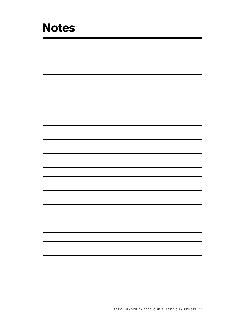### **Notes**

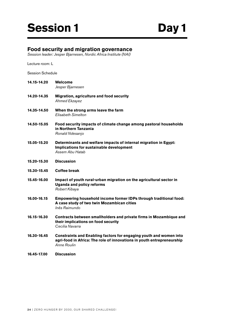#### **Food security and migration governance**

*Session leader: Jesper Bjarnesen, Nordic Africa Institute (NAI)*

Lecture room: L

Session Schedule

- **14.15-14.20 Welcome** *Jesper Bjarnesen*
- **14.20-14.35 Migration, agriculture and food security** *Ahmed Ekzayez*
- **14.35-14.50 When the strong arms leave the farm** *Elisabeth Simelton*
- **14.50-15.05 Food security impacts of climate change among pastoral households in Northern Tanzania** *Ronald Ndesanjo*
- **15.05-15.20 Determinants and welfare impacts of internal migration in Egypt: Implications for sustainable development** *Assem Abu Hatab*
- **15.20-15.30 Discussion**
- **15.30-15.45 Coffee break**
- **15.45-16.00 Impact of youth rural-urban migration on the agricultural sector in Uganda and policy reforms** *Robert Kibaya*
- **16.00-16.15 Empowering household income former IDPs through traditional food: A case study of two twin Mozambican cities** *Inês Raimundo*
- **16.15-16.30 Contracts between smallholders and private firms in Mozambique and their implications on food security** *Cecilia Navarra*
- **16.30-16.45 Constraints and Enabling factors for engaging youth and women into agri-food in Africa: The role of innovations in youth entrepreneurship** *Anne Roulin*
- **16.45-17.00 Discussion**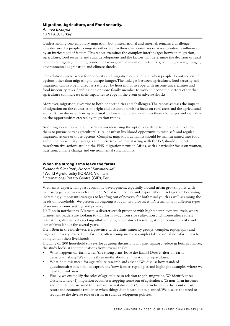Understanding contemporary migration, both international and internal, remains a challenge. The decision by people to migrate either within their own countries or across borders is influenced by an intricate set of factors. This report examines the complex interlinkages between migration, agriculture, food security and rural development and the factors that determine the decision of rural people to migrate; including economic factors, employment opportunities, conflict, poverty, hunger, environmental degradation and climate shocks.

The relationship between food security and migration can be direct, when people do not see viable options other than migrating to escape hunger. The linkages between agriculture, food security and migration can also be indirect as a strategy by households to cope with income uncertainties and food insecurity risks. Sending one or more family member to work in economic sectors other than agriculture can increase their capacities to cope in the event of adverse shocks.

Moreover, migration gives rise to both opportunities and challenges. The report assesses the impact of migration on the countries of origin and destination, with a focus on rural areas and the agricultural sector. It also discusses how agricultural and social policies can address these challenges and capitalize on the opportunities created by migration trends.

Adopting a development approach means increasing the options available to individuals to allow them to pursue better agricultural, rural or urban livelihood opportunities, with safe and regular migration as one of those options. Complex migration dynamics should be mainstreamed into food and nutrition security strategies and initiatives. Donors, starting with the G7, should support transformative actions around the FNS-migration nexus in Africa, with a particular focus on women, nutrition, climate change and environmental sustainability.

#### **When the strong arms leave the farms**

*Elisabeth Simelton1, Nozomi Kawarazuka2* 1 World Agroforestry (ICRAF), Vietnam 2 International Potato Centre (CIP), Peru

Vietnam is experiencing fast economic development, especially around urban growth poles with increasing gaps between rich and poor. Non-farm incomes and 'export labour packages' are becoming increasingly important strategies to leapfrog out of poverty for both rural youth as well as among the heads of households. We present an ongoing study in two provinces in Vietnam, with different types of socioeconomic settings and poverty:

Ha Tinh in northcentral Vietnam, a disaster struck province with high unemployment levels, where farmers and leaders are looking to transform away from rice cultivation and monoculture forest plantations, alternatively seeking off-farm jobs, when abroad resulting at high economic risks and loss of farm labour for several years.

Dien Bien in the northwest, is a province with ethnic minority groups, complex topography and high real poverty levels. Here, farmers, often young males or couples take seasonal non-farm jobs to complement their livelihoods.

Drawing on 200 household surveys, focus group discussions and participatory videos in both provinces, the study looks at the implications from several angles:

- What happens on-farm when 'the strong arms' leave the farms? Does it alter on-farm decision-making? We discuss three myths about feminization of agriculture.
- What does this mean for agriculture research and advice? We discuss how standard questionnaires often fail to capture the 'new farmer' typologies and highlight examples where we need to think new.
- Finally, we exemplify the roles of agriculture in relation to job-migration. We identify three clusters, where (1) migration becomes a stepping stone out of agriculture, (2) non-farm incomes and remittances are used to maintain farm status quo, (3) the farm becomes the point of last resort and economic resilience when things didn't turn out as planned. We discuss the need to recognize the diverse role of farms in rural development policies.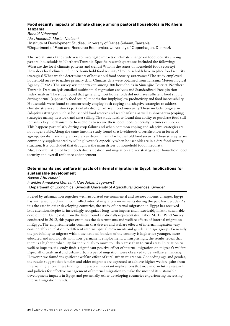#### **Food security impacts of climate change among pastoral households in Northern Tanzania**

*Ronald Ndesanjo1 Ida Theilade2, Martin Nielsen2* <sup>1</sup> Institute of Development Studies, University of Dar es Salaam, Tanzania 2 Department of Food and Resource Economics, University of Copenhagen, Denmark

The overall aim of the study was to investigate impacts of climate change on food security among pastoral households in Northern Tanzania. Specific research questions included the following: What are the local climatic patterns and trends? What is the status of household food security? How does local climate influence household food security? Do households have in place food security strategies? What are the determinants of household food security sustenance? The study employed household survey to gather primary data. Climatic data were obtained from Tanzania Meteorological Agency (TMA). The survey was undertaken among 300 households in Simanjiro District, Northern Tanzania. Data analysis entailed multinomial regression analyses and Standardized Precipitation Index analysis. The study found that generally, most households did not have sufficient food supply during normal (supposedly food secure) months thus implying low productivity and food inaccessibility. Households were found to concurrently employ both coping and adaptive strategies to address climatic stresses and shocks particularly drought-driven food insecurity. These include long-term (adaptive) strategies such as household food reserve and seed banking as well as short-term (coping) strategies mainly livestock and asset selling. The study further found that ability to purchase food still remains a key mechanism for households to secure their food needs especially in times of shocks. This happens particularly during crop failure and when common coping and adaptive strategies are no longer viable. Along the same line, the study found that livelihoods diversification in form of agro-pastoralism and migration are key determinants for household food security. These strategies are commonly supplemented by selling livestock especially when households are in a dire food scarcity situation. It is concluded that drought is the main driver of household food insecurity. Also, a combination of livelihoods diversification and migration are key strategies for household food security and overall resilience enhancement.

#### **Determinants and welfare impacts of internal migration in Egypt: Implications for sustainable development**

*Assem Abu Hatab1*

*Franklin Amuakwa Mensah1, Carl Johan Lagerkvist1* <sup>1</sup> Department of Economics, Swedish University of Agricultural Sciences, Sweden

Fueled by urbanization together with associated environmental and socioeconomic changes, Egypt has witnessed rapid and uncontrolled internal migratory movements during the past few decades. As it is the case in other developing countries, the study of internal migration in Egypt has received little attention, despite its increasingly recognized long-term impacts and inextricably links to sustainable development. Using data from the latest round a nationally-representative Labor Market Panel Survey conducted in 2012, this paper examines the determinants and welfare effects of internal migration in Egypt. The empirical results confirm that drivers and welfare effects of internal migration vary considerably in relation to different internal spatial movements and gender and age groups. Generally, the probability to migrate within the national borders of the country is higher for younger, more educated and individuals with non-permanent employment. Unsurprisingly, the results reveal that there is a higher probability for individuals to move to urban areas than to rural areas. In relation to welfare impacts, the study finds a significant positive effect of internal migration on migrant's welfare. Especially, rural-rural and urban-urban types of migration were observed to be welfare enhancing. However, we found insignificant welfare effect of rural-urban migration. Conceding age and gender, the results suggest that females and older migrants are expected to achieve higher welfare gains from internal migration. These findings underscore important implications that may inform future research and policies for effective management of internal migration to make the most of its sustainable development impacts in Egypt and potentially other developing countries experiencing increasing internal migration trends.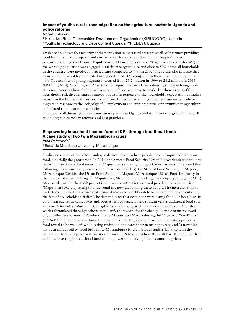#### **Impact of youths rural-urban migration on the agricultural sector in Uganda and policy reforms**

*Robert Kibaya1, 2*

<sup>1</sup> Kikandwa Rural Communities Development Organization (KIRUCODO), Uganda 2 Youths In Technology and Development Uganda (YITEDEV), Uganda

Evidence has shown that majority of the population in most rural areas are small scale farmers providing food for human consumption and raw materials for export and manufacturing industries. According to Uganda National Population and Housing Census of 2014, nearly two thirds (64%) of the working population was engaged in subsistence agriculture and close to 80% of the all households in the country were involved in agriculture compared to 74% in 2002. The results also indicate that more rural households participated in agriculture at 90% compared to their urban counterparts at 46%. The number of young migrants increased from 23.2 million in 1990 to 28.2 million in 2013 (UNICEF, 2014). According to FAO's 2016 conceptual framework on addressing rural youth migration at its root causes at household level, young members may move to work elsewhere as part of the household's risk diversification strategy but also in response to the household's expectation of higher returns in the future or to personal aspirations. In particular, rural youths are those more likely to migrate in response to the lack of gainful employment and entrepreneurial opportunities in agriculture and related rural economic activities.

The paper will discuss youth rural-urban migration in Uganda and its impact on agriculture as well as looking at new policy reforms and best practices.

#### **Empowering household income former IDPs through traditional food: A case study of two twin Mozambican cities**

*Inês Raimundo1*

1 Eduardo Mondlane University, Mozambique

Studies on urbanisation of Mozambique do not look into how people have relinquished traditional food, especially the poor urban. In 2014, the African Food Security Urban Network released the first report on the state of food security in Maputo, subsequently Hungry Cities Partnership released the following: Food insecurity, poverty and informality (2016a); the State of Food Security in Maputo, Mozambique (2016b); the Urban Food System of Maputo, Mozambique (2016); Food insecurity in the context of climate change in Maputo city, Mozambique: Challenges and coping strategies (2017). Meanwhile, within the HCP project in the year of 2014 I interviewed people in two tween cities (Maputo and Matola) trying to understand the new diet among these people. The interviews that I undertook unveiled a situation that many of researchers deliberately or not, did not pay attention on the fact of households shift diet. The data indicates that even poor were eating food like beef, biscuits, cold meat packed in cans, boxes and, bottles rich of sugar, fat and sodium versus traditional food such as *cacana (Momordica balsamica L.), pumpkin leaves, cassava, xima*, fish and country chicken. After this work I formulated three hypothesis that justify the reasons for the change: 1) most of interviewed city dwellers are former IDPs who came to Maputo and Matola during the 16 years of "civil" war (1976-1992), then they were forced to adapt into city diet; 2) people assume that eating processed food reveal to be well-off while eating traditional indicates their status of poverty; and 3) new diet has been influenced by food brought to Mozambique by cross border traders. Linking with the conference topic my paper will focus on former IDPs to discuss how this shift has affected their diet and how investing in traditional food can empower them taking into account the prices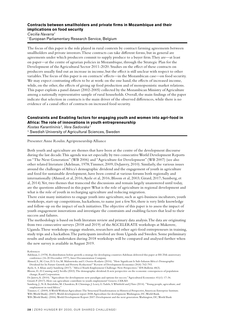#### **Contracts between smallholders and private firms in Mozambique and their implications on food security**

*Cecilia Navarra1* 1 European Parliamentary Research Service, Belgium

The focus of this paper is the role played in rural contexts by contract farming agreements between smallholders and private investors. These contracts can take different forms, but in general are agreements under which producers commit to supply produce to a buyer firm. They are—at least on paper—at the centre of agrarian policies in Mozambique, through the Strategic Plan for the Development of the Agricultural Sector 2011-2020. Studies on the effect of these contracts on producers usually find out an increase in income, but the effect is still unclear with respect to other variables. The focus of this paper is on contracts' effects—in the Mozambican case—on food security. We may expect contrasting effects to be at work: on the one hand, the effects of increased income, while, on the other, the effects of giving up food production and of monopsonistic market relations. This paper exploits a panel dataset (2002-2005) collected by the Mozambican Ministry of Agriculture among a nationally representative sample of rural households. Overall, the main findings of the paper indicate that selection in contracts is the main driver of the observed differences, while there is no evidence of a causal effect of contracts on increased food security.

#### **Constraints and Enabling factors for engaging youth and women into agri-food in Africa: The role of innovations in youth entrepreneurship**

*Kostas Karantininis¹, Vera Sadovska¹* <sup>1</sup> Swedish University of Agricultural Sciences, Sweden

Presenter: Anne Roulin. Agripreneurship Alliance

Both youth and agriculture are themes that have been at the centre of the development discourse during the last decade. This agenda was set especially by two consecutive World Development Reports on "The Next Generation" (WB 2006) and "Agriculture for Development" (WB 2007) (see also other related literature (Adelman, 1978; Timmer, 2009; DeJanvry, 2010). Similarly, the various issues around the challenges of Africa's demographic dividend and the engagement of youth in agriculture and food for sustainable development, have been central at various forums both regionally and internationally (Ahmed, et al, 2016; Ayele et al, 2016; Bloom et al, 2003; Girard, 2017; Sumberg, et al, 2014). Yet, two themes that transcend the discussions and remain largely unanswered until today, are the questions addressed in this paper: What is the role of agriculture in regional development and what is the role of youth in recharging agriculture and reducing migration.

There exist many initiatives to engage youth into agriculture, such as agri-business incubators, youth workshops, start-up competitions, hackathons, to name just a few. Yet, there is very little knowledge and follow-up on the impact of such initiatives. The objective of this paper is to assess the impact of youth engagement innovations and investigate the constraints and enabling factors that lead to their success and failures.

The methodology is based on both literature review and primary data analysis. The data are originating from two consecutive surveys (2018 and 2019) of the AGCELERATE workshops at Makerere,

Uganda. These workshops engage students, researchers and other agri-food entrepreneurs in training, study trips and a hackathon. The participants involved are from Uganda and Sweden. Some preliminary results and analysis undertaken during 2018 workshops will be compared and analysed further when the new survey is available in August 2019.

References

Adelman, I. (1978). Redistribution before growth-a strategy for developing countries: Adelman delivered this paper at ISS 25th anniversary conference (16-20 December 1977), Inter Documentation Company.

Ahmed, S., M. Cruz, D. S. Go, M. Maliszewska and I. Osorio-Rodarte (2016). "How Significant Is Sub-Saharan Africa's Demographic Dividend for Its Future Growth and Poverty Reduction?" Review of Development Economics 20(4): 762-793.

Ayele, S., S. Khan and J. Sumberg (2017). "Africa's Youth Employment Challenge: New Perspectives." IDS Bulletin 48(3). Bloom, D., D. Canning and J. Sevilla (2003). The demographic dividend: A new perspective on the economic consequences of population

change, Rand Corporation. De Janvry, A. (2010). "Agriculture for development: new paradigm and options for success." Agricultural Economics 41(s1): 17-36.

Girard, P. (2017). How can agriculture contribute to youth employment? Geneve, CERAD.

Sumberg, J., N. A. Anyidoho, M. Chasukwa, B. Chinsinga, J. Leavy, G. Tadele, S. Whitfield and J. Yaro (2014). "Young people, agriculture, and employment in rural Africa."

Timmer, C. (2009). A World Without Agriculture: The Structural Transformation in Historical Perspective, American Enterprise Institute.

WB (World Bank). (2007). World development report 2008: Agriculture for development. Washington, DC, World Bank. WB (World Bank). (2006). World Development Report 2007: Development and the next generation. Washington, DC, World Bank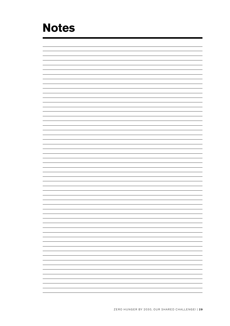### **Notes**

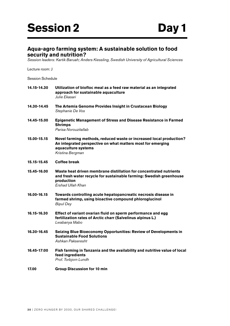#### **Aqua-agro farming system: A sustainable solution to food security and nutrition?**

*Session leaders: Kartik Baruah; Anders Kiessling, Swedish University of Agricultural Sciences*

Lecture room: J

Session Schedule

- **14.15-14.30 Utilization of biofloc meal as a feed raw material as an integrated approach for sustainable aquaculture** *Julie Ekasari*
- **14.30-14.45 The Artemia Genome Provides Insight in Crustacean Biology** *Stephanie De Vos*
- **14.45-15.00 Epigenetic Management of Stress and Disease Resistance in Farmed Shrimps** *Parisa Norouzitallab*
- **15.00-15.15 Novel farming methods, reduced waste or increased local production? An integrated perspective on what matters most for emerging aquaculture systems** *Kristina Bergman*
- **15.15-15.45 Coffee break**
- **15.45-16.00 Waste heat driven membrane distillation for concentrated nutrients and fresh water recycle for sustainable farming: Swedish greenhouse production** *Ershad Ullah Khan*
- **16.00-16.15 Towards controlling acute hepatopancreatic necrosis disease in farmed shrimp, using bioactive compound phloroglucinol** *Bipul Dey*
- **16.15-16.30 Effect of variant ovarian fluid on sperm performance and egg fertilization rates of Arctic charr (Salvelinus alpinus L.)** *Lwabanya Mabo*
- **16.30-16.45 Seizing Blue Bioeconomy Opportunities: Review of Developments in Sustainable Food Solutions** *Ashkan Pakseresht*
- **16.45-17:00 Fish farming in Tanzania and the availability and nutritive value of local feed ingredients** *Prof. Torbjorn Lundh*
- **17.00 Group Discussion for 10 min**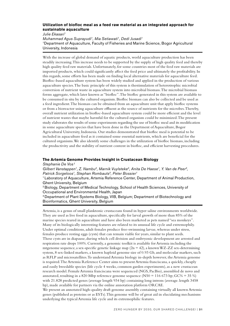#### **Utilization of biofloc meal as a feed raw material as an integrated approach for sustainable aquaculture**

*Julie Ekasari1 Muhammad Agus Suprayudi1, Mia Setiawati1, Dedi Jusadi1* 1Department of Aquaculture, Faculty of Fisheries and Marine Science, Bogor Agricultural University, Indonesia

With the increase of global demand of aquatic products, world aquaculture production has been steadily increasing. This increase needs to be supported by the supply of high quality feed and thereby high quality feed raw materials. Unfortunately, for some countries most of the feed raw materials are imported products, which could significantly affect the feed price and ultimately the profitability. In this regards, some efforts has been made on finding local alternative materials for aquaculture feed. Biofloc-based aquaculture system has been widely studied and applied in the production of various aquaculture species. The basic principle of this system is thestimulation of heterotrophic microbial conversion of nutrient waste in aquaculture system into microbial biomass. The microbial biomass forms aggregate, which later known as "biofloc". The biofloc generated in this system are available to be consumed in situ by the cultured organism. Biofloc biomass can also be collected and be used as a feed ingredient. The biomass can be obtained from an aquaculture unit that apply biofloc systems or from a bioreactor using aquaculture effluent as the source of nutrients for the microbes. Thereby, overall nutrient utilization in biofloc-based aquaculture system could be more efficient and the level of nutrient wastes that maybe harmful for the cultured organism could be minimized. The present study elaborates the results of some experiments regarding the use of biofloc meal and its modification in some aquaculture species that have been done in the Department of Aquaculture, Bogor Agricultural University, Indonesia. Our studies demonstrated that biofloc meal is potential to be included in aquaculture feed as it contained some essential nutrients, which are beneficial for the cultured organisms. We also identify some challenges in the utilization of biofloc biomass, including the productivity and the stability of nutrient content in biofloc, and efficient harvesting procedures.

#### **The Artemia Genome Provides Insight in Crustacean Biology**

*Stephanie De Vos¹*

*Gilbert Vanstappen1, Z. Nambu2, Marnik Vuylsteke3, Anita De Haese1, Y. Van de Peer3, Patrick Sorgeloos1, Stephan Rombauts3, Peter Bossier1*

1 Laboratory of Aquaculture, Artemia Reference Center, Department of Animal Production, Ghent University, Belgium

2 Biology, Department of Medical Technology, School of Health Sciences, University of Occupational and Environmental Health, Japan

3 Department of Plant Systems Biology, VIB, Belgium; Department of Biotechnology and Bioinformatics, Ghent University, Belgium

Artemia, is a genus of small planktonic crustaceans found in hyper saline environments worldwide. They are used as live food in aquaculture, specifically for larval growth of more than 85% of the marine species reared in aquaculture and have also been marketed as pets named "sea monkeys". Many of its biologically interesting features are related to its unusual life cycle and extremophily. Under optimal conditions, adult females produce free-swimming larvae, whereas under stress, females produce resting eggs (cysts) that can remain viable for years, similar to plant seeds. These cysts are in diapause, during which cell division and embryonic development are arrested and respiration rate drops 100%. Currently, a genomic toolkit is available for Artemia including the mtgenome sequence, a sex-specific genetic linkage map  $(2n = 42)$ , a known WZ-ZZ sex-determining system, 8 sex-linked markers, a known haploid genome size of 0.93 Gb, and molecular markers, such as RFLP and microsatellites. To understand Artemia biology in-depth however, the Artemia genome is required. The Artemia Reference Center aims to present Artemia franciscana, a quickly, cheaply and easily breedable species (life cycle 4 weeks, common garden experiments), as a new crustacean research model. Female Artemia franciscana were sequenced (NGS, PacBio), assembled de novo and annotated, resulting in a 820 Mbp reference genome sequence (N50 = 116 673 bp;  $GC$ % = 35 %) with 21.828 predicted genes (average length 934 bp) containing long introns (average. length 3458 bp), made available for partners via the online annotation platform ORCAE.

We present an annotated high-quality draft genome assembly containing virtually all known Artemia genes (published as proteins or as ESTs). This genome will be of great aid in elucidating mechanisms underlying the typical Artemia life cycle and its extremophilic features.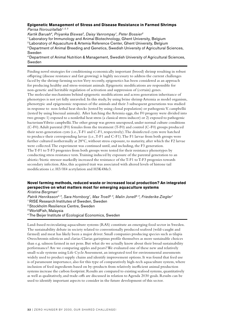#### **Epigenetic Management of Stress and Disease Resistance in Farmed Shrimps** *Parisa Norouzitallab1, 2, 3*

*Kartik Baruah4, Priyanka Biswas2, Daisy Vanrompay1, Peter Bossier2* <sup>1</sup> Laboratory for Immunology and Animal Biotechnology, Ghent University, Belgium 2 Laboratory of Aquaculture & Artemia Reference Center, Ghent University, Belgium <sup>3</sup> Department of Animal Breeding and Genetics, Swedish University of Agricultural Sciences, Sweden 4 Department of Animal Nutrition & Management, Swedish University of Agricultural Sciences, Sweden

Finding novel strategies for conditioning economically important (brood) shrimp resulting in robust offspring (disease resistance and fast growing) is highly necessary to address the current challenges faced by the shrimp farming sector. Very recently, epigenetics has been considered as an approach for producing healthy and stress-resistant animals. Epigenetic modifications are responsible for non-genetic and heritable regulation of activation and suppression of (certain) genes. The molecular mechanisms behind epigenetic modifications and across generation inheritance of phenotypes is not yet fully unraveled. In this study, by using brine shrimp Artemia as model organism, phenotypic and epigenomic responses of the animals and their 3 subsequent generations was studied in response to non-lethal heat shocks (tested by using clonal population) or pathogenic V. campbellii (tested by using bisexual animals). After hatching the Artemia eggs, the F0 progeny were divided into two groups: 1) exposed to a nonlethal heat stress (a classical stress inducer) or 2) exposed to pathogenic bacterium Vibrio campbellii. The other group was grown unexposed, under normal culture conditions (C-F0). Adult parental (F0) females from the treatment (T-F0) and control (C-F0) groups produced their next-generation cysts (i.e., T-F1 and C-F1, respectively). The disinfected cysts were hatched to produce their corresponding larvae (i.e., T-F1 and C-F1). The F1 larvae from both groups were further cultured isothermally at 28°C, without stress exposure, to maturity, after which the F2 larvae were collected. The experiment was continued until, and including, the F3 generation. The T-F1 to T-F3 progenies from both groups were tested for their resistance phenotypes by conducting stress resistance tests. Training induced by exposure of the parental generation to an abiotic/biotic stressor markedly increased the resistance of the T-F1 to T-F3 progenies towards secondary infection. Also, this acquired trait was associated with altered levels of histone tail modifications i.e. H3/H4 acetylation and H3K4Me3.

#### **Novel farming methods, reduced waste or increased local production? An integrated perspective on what matters most for emerging aquaculture systems**

*Kristina Bergman1*

Patrik Henriksson<sup>2, 3</sup>, Sara Hornborg<sup>1</sup>, Max Troell<sup>2, 4</sup>, Malin Jonell<sup>2, 4</sup>, Friederike Ziegler<sup>1</sup>

- 1 RISE Research Institutes of Sweden, Sweden
- 2 Stockholm Resilience Centre, Sweden

3 WorldFish, Malaysia

4 The Beijer Institute of Ecological Economics, Sweden

Land-based recirculating aquaculture systems (RAS) constitute an emerging food sector in Sweden. The sustainability debate in society related to conventionally produced seafood (wild-caught and farmed) and meat has likely been a major driver. Small companies producing species such as tilapia Oreochromis niloticus and clarias Clarias gariepinus profile themselves as more sustainable choices than e.g. salmon farmed in net pens. But what do we actually know about their broad sustainability performance? Are we comparing apples and pears? We evaluated one of these new and relatively small-scale systems using Life Cycle Assessment, an integrated tool for environmental assessments widely used to product supply chains and identify improvement options. It was found that feed use is of paramount importance, also for this type of comparatively high-tech aquaculture system, where inclusion of feed ingredients based on by-products from relatively inefficient animal production systems increase the carbon footprint. Results are compared to existing seafood systems, quantitatively as well as qualitatively, and trade-offs are discussed in relation to Agenda 2030 goals. Results can be used to identify important aspects to consider in the future development of this sector.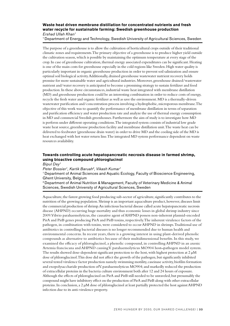#### **Waste heat driven membrane distillation for concentrated nutrients and fresh water recycle for sustainable farming: Swedish greenhouse production** *Ershad Ullah Khan1*

1 Department of Energy and Technology, Swedish University of Agricultural Sciences, Sweden

The purpose of a greenhouse is to allow the cultivation of horticultural crops outside of their traditional climatic zones and requirements. The primary objective of a greenhouse is to produce higher yield outside the cultivation season, which is possible by maintaining the optimum temperature at every stage of the crop. In case of greenhouse cultivation, thermal energy associated expenditures can be significant. Heating is one of the main costs for greenhouse especially in the cold regions like Sweden. High water quality is particularly important in organic greenhouse production in order to prevent soil salinization and ensure optimal soil biological activity. Additionally, drained greenhouse wastewater nutrient recovery holds promise for more sustainable water and agricultural industries. Moreover, greenhouse drained/wastewater nutrient and/water recovery is anticipated to become a promising strategy to sustain fertilizer and food production. In these above circumstances, industrial waste heat integrated with membrane distillation (MD) and greenhouse production could be an interesting combination in order to reduce costs of energy, recycle the fresh water and organic fertilizer as well as save the environment. MD is a thermally-driven wastewater purification and/concentration process involving a hydrophobic, microporous membrane. The objective of this work was to quantify the performance of membrane distillation in terms of separation and purification efficiency and water production rate and analyze the use of thermal energy consumption in MD and commercial Swedish greenhouses. Furthermore the aim of study is to investigate how MD is perform under different operating conditions. The integrated system consists of industrial low grade waste heat source, greenhouse production facility and membrane distillation unit. The waste heat can be delivered to feedwater (greenhouse drain water) in order to drive MD and the cooling side of the MD is heat exchanged with hot water return line. The integrated MD system performance dependent on waste resources availability.

#### **Towards controlling acute hepatopancreatic necrosis disease in farmed shrimp, using bioactive compound phloroglucinol**

*Bipul Dey1*

*Peter Bossier1, Kartik Baruah2, Vikash Kumar1*

1 Department of Animal Sciences and Aquatic Ecology, Faculty of Bioscience Engineering, Ghent University, Belgium

2 Department of Animal Nutrition & Management, Faculty of Veterinary Medicine & Animal Sciences, Swedish University of Agricultural Sciences, Sweden

Aquaculture, the fastest growing food producing sub-sector of agriculture, significantly contributes to the nutrition of the growing population. Shrimp is an important aquaculture product, however, diseases limit the commercial production of shrimp. An infectious bacterial disease called acute hepatopancreatic necrosis disease (AHPND) occurring huge mortality and thus economic losses in global shrimp industry since 2009. Vibrio parahaemolyticus, the causative agent of AHPND possess non-inherent plasmid-encoded PirA and PirB genes producing PirA and PirB toxins, respectively. The inherent virulence factors of the pathogen, in combination with toxins, were considered to occur AHPND in shrimps. Traditional use of antibiotics in controlling bacterial diseases is no longer recommended due to human health and environmental concerns. In recent years, there is a growing interest in using plant-derived phenolic compounds as alternative to antibiotics because of their multidimensional benefits. In this study, we examined the efficacy of phloroglucinol, a phenolic compound, in controlling AHPND in an axenic Artemia franciscana and AHPND causing V. parahaemolyticus MO904 host-pathogen model system. The results showed dose-dependent significant protection to the host, with highest protection at  $2 \mu M$ dose of phloroglucinol. This dose did not affect the growth of the pathogen, but significantly inhibited several tested virulence factor production namely swimming motility, caseinase activity, biofilm formation and exopolysaccharide production of V. parahaemolyticus MO904; and markedly reduced the production of extracellular proteins in the bacteria culture environment both after 12 and 24 hours of exposure. Although the effects of phloroglucinol on PirA and PirB still needed to be unraveled, but presumably the compound might have inhibitory effect on the production of PirA and PirB along with other extracellular proteins. In conclusion, a 2 μM dose of phloroglucinol at least partially protected the host against AHPND infection due to its anti-virulence property.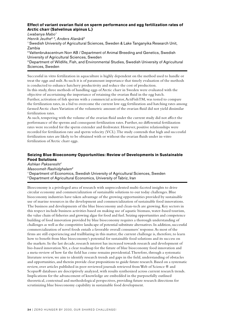#### **Effect of variant ovarian fluid on sperm performance and egg fertilization rates of Arctic charr (Salvelinus alpinus L.)**

*Lwabanya Mabo1*

*Henrik Jeuthe2, 3, Anders Alanärä3*

1 Swedish University of Agricultural Sciences, Sweden & Lake Tanganyika Research Unit, Zambia

2 Vattenbrukscentrum Norr AB / Department of Animal Breeding and Genetics, Swedish University of Agricultural Sciences, Sweden

3 Department of Wildlife, Fish, and Environmental Studies, Swedish University of Agricultural Sciences, Sweden

Successful in vitro fertilization in aquaculture is highly dependent on the method used to handle or treat the eggs and milt. As such it is of paramount importance that timely evaluation of the methods is conducted to enhance hatchery productivity and reduce the cost of production.

In this study, three methods of handling eggs of Arctic charr in Sweden were evaluated with the objective of ascertaining the importance of retaining the ovarian fluid in the egg batch. Further, activation of fish sperms with a commercial activator, ActiFishTM, was tested to compare the fertilization rates, in a bid to overcome the current low egg fertilization and hatching rates among farmed Arctic charr. Variation of the volumetric amount of the ovarian fluid did not yield dissimilar fertilization rates.

As such, tempering with the volume of the ovarian fluid under the current study did not affect the performance of the sperms and consequent fertilization rates. Further, no differential fertilization rates were recorded for the sperm extender and freshwater. However, positive relationships were recorded for fertilization rate and sperm velocity (VCL). The study contends that high and successful fertilization rates are likely to be obtained with or without the ovarian fluids under in-vitro fertilization of Arctic charr eggs.

#### **Seizing Blue Bioeconomy Opportunities: Review of Developments in Sustainable Food Solutions**

*Ashkan Pakseresht1 Masoomeh Rashidghalam2* <sup>1</sup> Department of Economics, Swedish University of Agricultural Sciences, Sweden 2 Department of Agricultural Economics, University of Tabriz, Iran

Bioeconomy is a privileged area of research with unprecedented multi-faceted insights to drive circular economy and commercialization of sustainable solutions to our today challenges. Blue bioeconomy industries have taken advantage of the growing opportunities provided by sustainable use of marine resources in the development and commercialization of sustainable food innovations. The business and developments of the blue bioeconomy and clean-tech are growing. Key sectors in this respect include business activities based on making use of aquatic biomass, water-based tourism, the value chain of fisheries and growing algae for food and fuel. Seizing opportunities and competence building of food innovation provided by blue bioeconomy requires a thorough understanding of challenges as well as the competitive landscape of potential substitute alternatives. In addition, successful commercialization of novel foods entails a favorable overall consumers' response. As most of the firms are still experiencing and trailblazing in this matter, the current challenge is, therefore, to learn how to benefit from blue bioeconomy's potential for sustainable food solutions and its success on the markets. In the last decade, research interest has increased towards research and development of bio-based innovation. Yet, a clear roadmap for the future of blue bioeconomy food innovation and a meta-review of how far the field has come remains providential. Therefore, through a systematic literature review, we aim to identify research trends and gaps in the field, understanding of obstacles and opportunities, and therein provide clear propositions to guide future research. Based on a systematic review, over articles published in peer-reviewed journals retrieved from Web of Science ® and Scopus® databases are descriptively analyzed, with results synthesized across current research trends. Implications for the advancement of knowledge are embedded in the purposefully outlined theoretical, contextual and methodological perspectives, providing future research directions for scrutinizing blue bioeconomy capability in sustainable food development.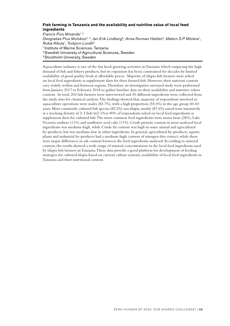#### **Fish farming in Tanzania and the availability and nutritive value of local feed ingredients**

*Francis Pius Mmanda1, 2 Deogratias Pius Mulokozi1, 3, Jan Erik Lindberg2, Anna Norman Halden2, Matern S.P Mtolera1, Rukia Kikula1, Torbjorn Lundh2* 1 Institute of Marine Sciences, Tanzania 2 Swedish University of Agricultural Sciences, Sweden <sup>3</sup> Stockholm University, Sweden

Aquaculture industry is one of the fast food-growing activities in Tanzania which outpacing the high demand of fish and fishery products, but its expansion has been constrained for decades by limited availability of good quality feeds at affordable prices. Majority of tilapia fish farmers were relied on local feed ingredients as supplement diets for their farmed fish. However, their nutrient content vary widely within and between regions. Therefore, an investigative surveyed study were performed from January 2017 to February 2018 to gather baseline data on their availability and nutritive values content. In total, 202 fish farmers were interviewed and 30 different ingredients were collected from the study sites for chemical analysis. The findings showed that, majority of respondents involved in aquaculture operations were males (82.7%), with a high proportion (55.0%) in the age group 40-60 years. Most commonly cultured fish species (82.2%) was tilapia, mostly (87.6%) raised semi-intensively at a stocking density of 2-3 fish/m2. Over 80% of respondents relied on local feed ingredients as supplement diets for cultured fish. The most common feed ingredients were maize bran (28%), Lake Victoria sardines (11%) and sunflower seed cake (11%). Crude protein content in most analysed local ingredients was medium-high, while Crude fat content was high in some animal and agricultural by-products, but was medium-low in other ingredients. In general, agricultural by-products, aquatic plants and industrial by-products had a medium-high content of nitrogen-free extract, while there were major differences in ash content between the feed ingredients analysed. According to mineral content, the results showed a wide range of mineral concentrations in the local feed ingredients used by tilapia fish farmers in Tanzania. These data provide a good platform for development of feeding strategies for cultured tilapia based on current culture systems, availability of local feed ingredients in Tanzania and their nutritional content.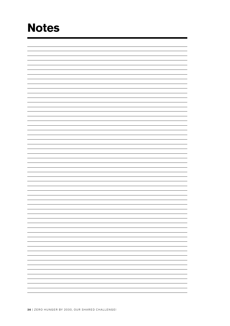### **Notes**

|  | $\overline{\phantom{0}}$ |
|--|--------------------------|
|  | $\overline{\phantom{0}}$ |
|  | $\overline{\phantom{0}}$ |
|  | $\overline{\phantom{0}}$ |
|  |                          |
|  |                          |
|  |                          |
|  |                          |
|  |                          |
|  | $\frac{1}{2}$            |
|  | $\overline{\phantom{0}}$ |
|  | $\overline{\phantom{0}}$ |
|  | $\overline{\phantom{0}}$ |
|  | -                        |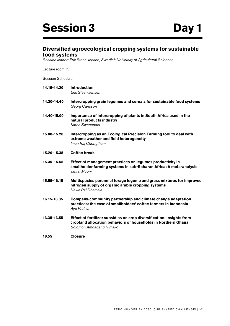# **Diversified agroecological cropping systems for sustainable food systems**

*Session leader: Erik Steen Jensen, Swedish University of Agricultural Sciences*

Lecture room: K

Session Schedule

**14.15-14.20 Introduction** *Erik Steen Jensen* **14.20-14.40 Intercropping grain legumes and cereals for sustainable food systems** *Georg Carlsson* **14.40-15.00 Importance of intercropping of plants in South Africa used in the natural products industry** *Karen Swanepoel* **15.00-15.20 Intercropping as an Ecological Precision Farming tool to deal with extreme weather and field heterogeneity** *Iman Raj Chongtham* **15.20-15.35 Coffee break 15.35-15.55 Effect of management practices on legumes productivity in smallholder farming systems in sub-Saharan Africa: A meta-analysis** *Tarirai Muoni* **15.55-16.15 Multispecies perennial forage legume and grass mixtures for improved nitrogen supply of organic arable cropping systems** *Nawa Raj Dhamala* **16.15-16.35 Company-community partnership and climate change adaptation practices: the case of smallholders' coffee farmers in Indonesia** *Ayu Pratiwi* **16.35-16.55 Effect of fertilizer subsidies on crop diversification: insights from cropland allocation behaviors of households in Northern Ghana** *Solomon Amoabeng Nimako* **16.55 Closure**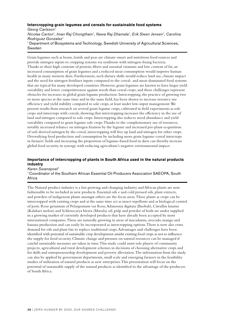#### **Intercropping grain legumes and cereals for sustainable food systems**

*Georg Carlsson1 Nicolas Carton1, Iman Raj Chongtham1, Nawa Raj Dhamala1, Erik Steen Jensen1, Carolina Rodriguez Gonzalez1* 1 Department of Biosystems and Technology, Swedish University of Agricultural Sciences, Sweden

Grain legumes such as beans, lentils and peas are climate-smart and nutritious food sources and provide nitrogen inputs to cropping systems via symbiosis with nitrogen-fixing bacteria. Thanks to their high contents of protein, fibers and essential vitamins and low content of fat, an increased consumption of grain legumes and a reduced meat consumption would improve human health in many western diets. Furthermore, such dietary shifts would reduce land use, climate impact and the need for nitrogen fertilizer inputs compared to the cereal- and meat-dominated food systems that are typical for many developed countries. However, grain legumes are known to have larger yield variability and lower competitiveness against weeds than cereal crops, and these challenges represent obstacles for increases in global grain legume production. Intercropping, the practice of growing two or more species at the same time and in the same field, has been shown to increase resource use efficiency and yield stability compared to sole crops, at least under low-input management. We present results from research on several grain legume crops, cultivated in field experiments as sole crops and intercrops with cereals, showing that intercropping increases the efficiency in the use of land and nitrogen compared to sole crops. Intercropping also reduces weed abundance and yield variability compared to grain legume sole crops. Thanks to the complementary use of resources, notably increased reliance on nitrogen fixation by the legume and increased per-plant-acquisition of soil-derived nitrogen by the cereal, intercropping will free up land and nitrogen for other crops. Diversifying food production and consumption by including more grain legume-cereal intercrops in farmers' fields and increasing the proportion of legume-based food in diets can thereby increase global food security in synergy with reducing agriculture's negative environmental impact.

### **Importance of intercropping of plants in South Africa used in the natural products industry**

*Karen Swanepoel1*

1 Coordinator of the Southern African Essential Oil Producers Association SAEOPA, South Africa

The Natural product industry is a fast growing and changing industry and African plants are now fashionable to be included in new products. Essential oils e and cold pressed oils, plant extracts, and powders of indigenous plants amongst others are the focus areas. These plants as crops can be intercropped with existing crops and at the same time act as insect repellents and as biological control of pests. Rose geranium of Pelargonium var Rose, Adansonia digitata (Baobab), Citrullus lanatus (Kalahari melon) and Schlerocarya birrea (Marula) oil, pulp and powder of both are under supplied in a growing market of currently developed products that have already been accepted by most international companies. These are naturally growing in areas of macadamia, avocado, mango and banana production and can easily be incorporated as intercropping options. There is now also extra demand for oils and plant fats to replace traditional crops. Advantages and challenges have been identified with potential of sustainable crop development amidst existing food crops as not to influence the supply for food security. Climate change and pressure on natural resources can be managed if careful sustainable measures are taken in time. This study could assist role players of community projects, agricultural and rural development schemes in decisions of choosing alternative crops and for skills and entrepreneurship development and poverty alleviation. The information from the study can also be applied by government departments, small scale and emerging farmers in the feasibility studies of utilization of natural products as new enterprises. This presentation will focus on the potential of sustainable supply of the natural products as identified to the advantage of the producers of South Africa.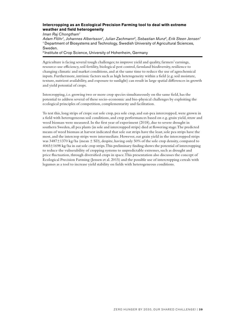## **Intercropping as an Ecological Precision Farming tool to deal with extreme weather and field heterogeneity**

*Iman Raj Chongtham1*

*Adam Flöhr1, Johannes Albertsson1, Julian Zachmann2, Sebastian Munz2, Erik Steen Jensen1* 1 Department of Biosystems and Technology, Swedish University of Agricultural Sciences, Sweden.

2 Institute of Crop Science, University of Hohenheim, Germany

Agriculture is facing several tough challenges; to improve yield and quality, farmers' earnings, resource-use efficiency, soil fertility, biological pest control, farmland biodiversity, resilience to changing climatic and market conditions, and at the same time to reduce the use of agrochemical inputs. Furthermore, intrinsic factors such as high heterogeneity within a field (e.g. soil moisture, texture, nutrient availability, and exposure to sunlight) can result in large spatial differences in growth and yield potential of crops.

Intercropping, i.e. growing two or more crop species simultaneously on the same field, has the potential to address several of these socio-economic and bio-physical challenges by exploiting the ecological principles of competition, complementarity and facilitation.

To test this, long strips of crops: oat sole crop, pea sole crop, and oat-pea intercropped, were grown in a field with heterogeneous soil conditions, and crop performances based on e.g. grain yield, straw and weed biomass were measured. In the first year of experiment (2018), due to severe drought in southern Sweden, all pea plants (in sole and intercropped strips) died at flowering stage. The predicted means of weed biomass at harvest indicated that sole oat strips have the least, sole pea strips have the most, and the intercrop strips were intermediate. However, oat grain yield in the intercropped strips was  $3487\pm1370$  kg/ha (mean  $\pm$  SD), despite, having only 50% of the sole crop density, compared to 4065±1698 kg/ha in oat sole crop strips. This preliminary finding shows the potential of intercropping to reduce the vulnerability of cropping systems to unpredictable extremes, such as drought and price fluctuation, through diversified crops in space. This presentation also discusses the concept of Ecological Precision Farming (Jensen et al. 2015) and the possible use of intercropping cereals with legumes as a tool to increase yield stability on fields with heterogeneous conditions.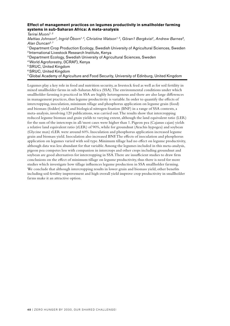#### **Effect of management practices on legumes productivity in smallholder farming systems in sub-Saharan Africa: A meta-analysis** *Tarirai Muoni1, 2*

Mattias Johnson<sup>3</sup>, Ingrid Öborn<sup>1,4</sup>, Christine Watson<sup>1,5</sup>, Göran1 Bergkvist<sup>1</sup>, Andrew Barnes<sup>6</sup>, *Alan Duncan2, 7*

<sup>1</sup> Department Crop Production Ecology, Swedish University of Agricultural Sciences, Sweden 2 International Livestock Research Institute, Kenya

3 Department Ecology, Swedish University of Agricultural Sciences, Sweden

4 World Agroforestry, (ICRAF), Kenya

5 SRUC, United Kingdom

6 SRUC, United Kingdom

7 Global Academy of Agriculture and Food Security, University of Edinburg, United Kingdom

Legumes play a key role in food and nutrition security, as livestock feed as well as for soil fertility in mixed smallholder farms in sub-Saharan Africa (SSA). The environmental conditions under which smallholder farming is practiced in SSA are highly heterogenous and there are also large differences in management practices, thus legume productivity is variable. In order to quantify the effects of intercropping, inoculation, minimum tillage and phosphorus application on legume grain (food) and biomass (fodder) yield and biological nitrogen fixation (BNF) in a range of SSA contexts, a meta-analysis, involving 120 publications, was carried out. The results show that intercropping reduced legume biomass and grain yields to varying extent, although the land equivalent ratio (LER) for the sum of the intercrops in all/most cases were higher than 1. Pigeon pea (Cajanus cajan) yields a relative land equivalent ratio (rLER) of 90%, while for groundnut (Arachis hypogea) and soybean (Glycine max) rLER were around 60%. Inoculation and phosphorus application increased legume grain and biomass yield. Inoculation also increased BNF. The effects of inoculation and phosphorus application on legumes varied with soil type. Minimum tillage had no effect on legume productivity, although data was less abundant for that variable. Among the legumes included in this meta-analysis, pigeon pea competes less with companion in intercrops and other crops including groundnut and soybean are good alternatives for intercropping in SSA. There are insufficient studies to draw firm conclusions on the effect of minimum tillage on legume productivity, thus there is need for more studies which investigate how tillage influences legume production in SSA smallholder farming. We conclude that although intercropping results in lower grain and biomass yield, other benefits including soil fertility improvement and high overall yield improve crop productivity in smallholder farms make it an attractive option.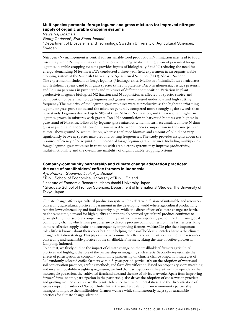## **Multispecies perennial forage legume and grass mixtures for improved nitrogen supply of organic arable cropping systems**

*Nawa Raj Dhamala1 Georg Carlsson1, Erik Steen Jensen1* <sup>1</sup> Department of Biosystems and Technology, Swedish University of Agricultural Sciences, Sweden

Nitrogen (N) management is central for sustainable food production: N limitation may lead to food insecurity while N surplus may cause environmental degradation. Integration of perennial forage legumes in arable cropping systems provides inputs of biologically fixed N, reducing the need for energy-demanding N fertilizers. We conducted a three-year field experiment in an organic arable cropping system at the Swedish University of Agricultural Sciences (SLU), Alnarp, Sweden. The experiment included four forage legumes (Medicago sativa, Melilotus officinalis, Lotus corniculatus and Trifolium repens), and four grass species (Phleum pratense, Dactylis glomerata, Festuca pratensis and Lolium perenne) in pure stands and mixtures of different composition. Variation in plant productivity, legume biological N2 fixation and N acquisition as affected by species choice and composition of perennial forage legumes and grasses were assessed under low and high cutting frequency. The majority of the legume-grass mixtures were as productive as the highest performing legume or grass pure stands, and the mixtures generally competed more strongly against weeds than pure stands. Legumes derived up to 90% of their N from N2 fixation, and this was often higher in legumes grown in mixtures with grasses. Total N accumulation in harvested biomass was highest in pure stand of M. sativa, followed by legume-grass mixtures which in turn accumulated more N than grass in pure stand. Root N concentration varied between species composition in the same pattern as total aboveground N accumulation, whereas total root biomass and amount of N did not vary significantly between species mixtures and cutting frequencies. The study provides insights about the resource efficiency of N acquisition in perennial forage legume-grass mixtures. Including multispecies forage legume-grass mixtures in rotation with arable crops systems may improve productivity, multifunctionality and the overall sustainability of organic arable cropping systems.

# **Company-community partnership and climate change adaptation practices: the case of smallholders' coffee farmers in Indonesia**

*Ayu Pratiwi1, Guenwoo Lee2, Aya Suzuki3*

1 Turku School of Economics, University of Turku, Finland

2 Institute of Economic Research, Hitotsubashi University, Japan

<sup>3</sup> Graduate School of Frontier Sciences, Department of International Studies, The University of Tokyo, Japan

Climate change affects agricultural production system. The effective diffusion of sustainable and resourceconserving agricultural practices is paramount in the developing world where agricultural productivity remains low; vulnerability and food insecurity high; while the direct effects of climate change are harsh. At the same time, demand for high quality and responsibly sourced agricultural produce continues to grow globally. Intersectoral company-community partnerships are especially pronounced in many global commodity chains, which main purposes are to directly procure commodities from the farmers, resulting in more effective supply chains and consequently improving farmers' welfare. Despite their important roles, little is known about their contribution in helping their smallholders' clienteles harness the climate change adaptation strategy. This paper aims to examine the effects of such partnership upon the resourceconserving and sustainable practices of the smallholders' farmers, taking the case of coffee growers in Lampung, Indonesia.

To do that, we firstly outline the impact of climate change on the smallholders' farmers agricultural practices and highlight the role of the partnership in mitigating such effects. Secondly, we estimate the effects of participation in company-community partnership on climate change adaptation strategies of 240 randomly-selected coffee farmers within 3-years period, particularly on the adoption of water and soil conservation practices, grafting methods, and farm diversification. Based on propensity score matching and inverse probability weighting regression, we find that participation in the partnership depends on the motorcycle possession, the cultivated farmland size, and the size of advice networks. Apart from improving farmers' farm income, participation in the partnership also drives the adoption of conservation practices and grafting methods to improve the plants' tolerance to environmental stress; and the diversification of spices crops and hardwood. We conclude that in the smaller scale, company-community partnership manages to improve the smallholders' farmers welfare while simultaneously helps spur sustainable practices for climate change adaption.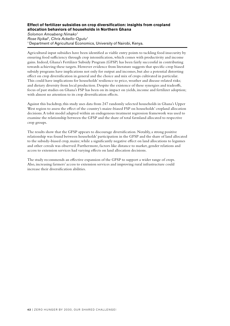# **Effect of fertilizer subsidies on crop diversification: insights from cropland allocation behaviors of households in Northern Ghana**

*Solomon Amoabeng Nimako1 Rose Nyikal1, Chris Ackello-Ogutu1* <sup>1</sup> Department of Agricultural Economics, University of Nairobi, Kenya.

Agricultural input subsidies have been identified as viable entry points to tackling food insecurity by ensuring food sufficiency through crop intensification, which comes with productivity and income gains. Indeed, Ghana's Fertilizer Subsidy Program (GFSP) has been fairly successful in contributing towards achieving these targets. However evidence from literature suggests that specific-crop biased subsidy programs have implications not only for output and incomes, but also a potential distorting effect on crop diversification in general and the choice and mix of crops cultivated in particular. This could have implications for households' resilience to price, weather and disease-related risks; and dietary diversity from local production. Despite the existence of these synergies and tradeoffs, focus of past studies on Ghana's FSP has been on its impact on yields, income and fertilizer adoption; with almost no attention to its crop diversification effects.

Against this backdrop, this study uses data from 247 randomly selected households in Ghana's Upper West region to assess the effect of the country's maize-biased FSP on households' cropland allocation decisions. A tobit model adapted within an endogenous treatment regression framework was used to examine the relationship between the GFSP and the share of total farmland allocated to respective crop groups.

The results show that the GFSP appears to discourage diversification. Notably, a strong positive relationship was found between households' participation in the GFSP and the share of land allocated to the subsidy-biased crop, maize; while a significantly negative effect on land allocations to legumes and other cereals was observed. Furthermore, factors like distance to market, gender relations and access to extension services had varying effects on land allocation decisions.

The study recommends an effective expansion of the GFSP to support a wider range of crops. Also, increasing farmers' access to extension services and improving rural infrastructure could increase their diversification abilities.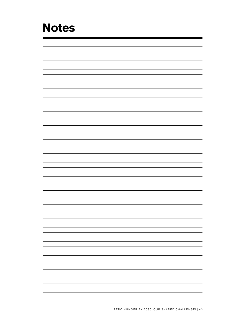# **Notes**

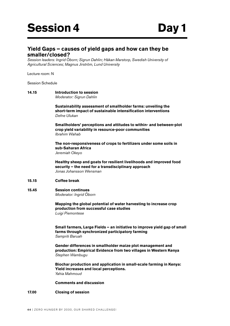# **Yield Gaps – causes of yield gaps and how can they be smaller/closed?**

*Session leaders: Ingrid Öborn; Sigrun Dahlin; Håkan Marstorp, Swedish University of Agricultural Sciences; Magnus Jirström, Lund University*

Lecture room: N

Session Schedule

# **14.15 Introduction to session**

*Moderator: Sigrun Dahlin*

 **Sustainability assessment of smallholder farms: unveiling the short-term impact of sustainable intensification interventions** *Defne Ulukan*

 **Smallholders' perceptions and attitudes to within- and between-plot crop yield variability in resource-poor communities** *Ibrahim Wahab*

 **The non-responsiveness of crops to fertilizers under some soils in sub-Saharan Africa** *Jeremiah Okeyo*

 **Healthy sheep and goats for resilient livelihoods and improved food security – the need for a transdisciplinary approach** *Jonas Johansson Wensman*

# **15.15 Coffee break**

# **15.45 Session continues**

*Moderator: Ingrid Öborn* 

 **Mapping the global potential of water harvesting to increase crop production from successful case studies** *Luigi Piemontese* 

 **Small farmers, Large Fields – an initiative to improve yield gap of small farms through synchronized participatory farming** *Sampriti Baruah*

 **Gender differences in smallholder maize plot management and production: Empirical Evidence from two villages in Western Kenya** *Stephen Wambugu*

 **Biochar production and application in small-scale farming in Kenya: Yield increases and local perceptions.** *Yahia Mahmoud*

 **Comments and discussion**

#### **17.00 Closing of session**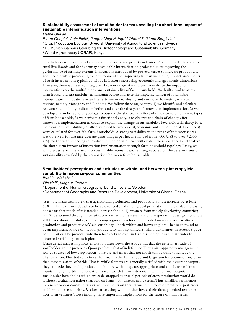# **Sustainability assessment of smallholder farms: unveiling the short-term impact of sustainable intensification interventions**

*Defne Ulukan1* Pierre Chopin<sup>1</sup>, Anja Faße<sup>2</sup>, Gregor Mager<sup>2</sup>, Ingrid Öborn<sup>1,3</sup>, Göran Bergkvist<sup>1</sup> 1 Crop Production Ecology, Swedish University of Agricultural Sciences, Sweden 2 TU Munich Campus Straubing for Biotechnology and Sustainability, Germany 3 World Agroforestry (ICRAF), Kenya

Smallholder farmers are stricken by food insecurity and poverty in Eastern Africa. In order to enhance rural livelihoods and food security, sustainable intensification projects aim at improving the performance of farming systems. Innovations introduced by projects target to increase productivity and income while preserving the environment and improving human wellbeing. Impact assessments of such interventions typically include indicators measuring economic and agronomic dimensions. However, there is a need to integrate a broader range of indicators to evaluate the impact of interventions on the multidimensional sustainability of farm households. We built a tool to assess farm household sustainability in Tanzania before and after the implementation of sustainable intensification innovations – such as fertilizer micro-dosing and rainwater harvesting – in two regions, namely Morogoro and Dodoma. We follow three major steps: 1) we identify and calculate relevant sustainability indicators before and after the first year of innovation implementation, 2) we develop a farm household typology to observe the short-term effect of innovations on different types of farm households, 3) we perform a functional analysis to observe the chain of change after innovation implementation in order to explain the change in sustainability levels. Overall, thirty basic indicators of sustainability (equally distributed between social, economic and environmental dimensions) were calculated for over 800 farm households. A strong variability in the range of indicator scores was observed; for instance, average gross margin per hectare ranged from  $-600$  US\$ to over  $+2000$ US\$ for the year preceding innovation implementation. We will explain these variations and analyze the short-term impact of innovation implementation through farm household typology. Lastly, we will discuss recommendations on sustainable intensification strategies based on the determinants of sustainability revealed by the comparison between farm households.

# **Smallholders' perceptions and attitudes to within- and between-plot crop yield variability in resource-poor communities**

*Ibrahim Wahab1, 2*

*Ola Hall1, MagnusJirström1*

1 Department of Human Geography, Lund University, Sweden 2 Department of Geography and Resource Development, University of Ghana, Ghana

 It is now mainstream view that agricultural production and productivity must increase by at least 60% in the next three decades to be able to feed a 9-billion global population. There is also increasing consensus that much of this needed increase should: 1) emanate from mostly developing countries; and 2) be attained through intensification rather than extensification. In spite of modest gains, doubts still linger about the ability of developing regions to achieve the needed increases in agricultural production and productivity. Yield variability – both within and between plots – has been found to be an important source of the low productivity among rainfed, smallholder farmers in resource-poor communities. The present study therefore seeks to explain farmers' perceptions and attitudes to observed variability on such plots.

Using aerial images in photo-elicitation interviews, the study finds that the general attitude of smallholders to the presence of poor patches is that of indifference. They assign apparently managementrelated sources of low crop vigour to nature and assert that not much can be done to remedy the phenomenon. The study also finds that smallholder farmers, by and large, aim for optimization, rather than maximization, of yields. That is, while farmers are generally satisfied with their current outputs, they concede they could produce much more with adequate, appropriate, and timely use of farm inputs. Though fertilizer application is well worth the investments in terms of final outputs, smallholder households which are cash-strapped at crucial periods of crops production would do without fertilization rather than rely on loans with unreasonable terms. Thus, smallholder farmers in resource-poor communities view investments on their farms in the form of fertilizers, pesticides, and herbicides as too risky. As alternatives, they would rather invest their already limited resources in non-farm ventures. These findings have important implications for the future of small farms.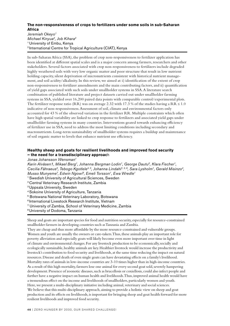# **The non-responsiveness of crops to fertilizers under some soils in sub-Saharan Africa**

# *Jeremiah Okeyo1 Michael Kinyua2, Job Kihara2* 1 University of Embu, Kenya 2 International Centre for Tropical Agriculture (CIAT), Kenya

In sub-Saharan Africa (SSA), the problem of crop non-responsiveness to fertilizer application has been identified at different spatial scales and is a major concern among farmers, researchers and other stakeholders. Several factors associated with crop non-responsiveness to fertilizers include degraded highly weathered soils with very low organic matter and poor structure that result in low nutrient holding capacity, silent deprivation of micronutrients consistent with historical nutrient management, and soil acidity/alkalinity. In this review, we aimed at: i) identification of the extent of crop non-responsiveness to fertilizer amendments and the main contributing factors, and ii) quantification of yield gaps associated with such soils under smallholder systems in SSA. A literature search combination of published literature and project datasets carried out under smallholder farming systems in SSA, yielded over 16,200 paired data points with comparable control/experimental plots. The fertilizer response ratio (RR) was on average 2.32 with 17.3 % of the studies having a RR  $\leq 1.0$ indicative of non-responsiveness. Assessment of soil, climate and environmental factors only accounted for 43 % of the observed variation in the fertilizer RR. Multiple constraints which often have high spatial variability are linked to crop response to fertilizers and associated yield gaps under smallholder farming systems in many countries. Interventions geared towards enhancing efficiency of fertilizer use in SSA, need to address the most limiting conditions including secondary and macronutrients. Long-term sustainability of smallholder systems requires a buildup and maintenance of soil organic matter to levels that enhance nutrient use efficiency.

# **Healthy sheep and goats for resilient livelihoods and improved food security – the need for a transdisciplinary approac**h

#### *Jonas Johansson Wensman1*

*Karin Alvåsen1, Mikael Berg1, Johanna Bergman Lodin1, George Dautu2, Klara Fischer1, Cecilia Fåhraeus3, Tebogo Kgotlele4, 5, Johanna Lindahl1, 3, 6, Sara Lysholm1, Gerald Misinzo4,*  Musso Munyeme<sup>7</sup>, Edwin Ngowi<sup>8</sup>, Emeli Torsson<sup>1</sup>, Ewa Wredle<sup>1</sup>

- 1 Swedish University of Agricultural Sciences, Sweden
- 2 Central Veterinary Research Institute, Zambia

3 Uppsala University, Sweden

4 Sokoine University of Agriculture, Tanzania

5 Botswana National Veterinary Laboratory, Botswana

6 International Livestock Research Institute, Vietnam

7 University of Zambia, School of Veterinary Medicine, Zambia

8 University of Dodoma, Tanzania

Sheep and goats are important species for food and nutrition security, especially for resource-constrained smallholder farmers in developing countries such as Tanzania and Zambia.

They are cheap and thus more affordable by the more resource-constrained and vulnerable groups. Women and youth are usually the owners or care-takers. Thus, these animals play an important role for poverty alleviation and especially goats will likely become even more important over time in light of climate and environmental changes. For any livestock production to be economically, socially and ecologically sustainable, healthy animals are key. Healthier livestock would increase the productivity and livestock's contribution to food security and livelihoods, at the same time reducing the impact on natural resources. Disease and death of even single goats can have devastating effects on a family's livelihood. Mortality rates of animals in low-income countries are 3-10 times higher than in high-income countries. As a result of this high mortality, farmers lose one animal for every second goat sold, severely hampering development. Presence of zoonotic diseases, such as brucellosis or coxiellosis, could also infect people and further have a negative impact on human health and livelihoods. Thus, improved animal health would have a tremendous effect on the income and livelihoods of smallholders, particularly women and youth. Here, we present a multi-disciplinary initiative including animal, veterinary and social sciences. We believe that this multi-disciplinary approach, aiming to provide a holistic view on sheep and goat production and its effects on livelihoods, is important for bringing sheep and goat health forward for more resilient livelihoods and improved food security.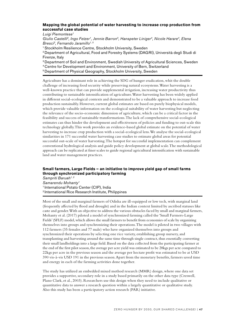# **Mapping the global potential of water harvesting to increase crop production from successful case studies**

*Luigi Piemontese1 Giulio Castelli2, Ingo Fetzer1, Jennie Barron3, Hanspeter Liniger4, Nicole Harare4, Elena Bresci2, Fernando Jaramillo1, 5* 1 Stockholm Resilience Centre, Stockholm University, Sweden

2 Department of Agricultural, Food and Forestry Systems (DAGRI), Università degli Studi di Firenze, Italy

3 Department of Soil and Environment, Swedish University of Agricultural Sciences, Sweden

- 4 Centre for Development and Environment, University of Bern, Switzerland
- 5 Department of Physical Geography, Stockholm University, Sweden

Agriculture has a dominant role in achieving the SDG of hunger eradication, whit the double challenge of increasing food security while preserving natural ecosystems. Water harvesting is a well-known practice that can provide supplemental irrigation, increasing water productivity thus contributing to sustainable intensification of agriculture. Water harvesting has been widely applied in different social-ecological contexts and demonstrated to be a valuable approach to increase food production sustainably. However, current global estimates are based on purely biophysical models, which provide valuable information on the ecological suitability of water harvesting but neglecting the relevance of the socio-economic dimension of agriculture, which can be a critical factor in the feasibility and success of sustainable transformations. The lack of comprehensive social-ecological estimates can thus hinder the development and effectiveness of policies and funding to out-scale this technology globally. This work provides an evidence-based global estimate on the potential of water harvesting to increase crop production with a social-ecological lens. We analyse the social-ecological similarities in 171 successful water harvesting case studies to estimate global areas for potential successful out-scale of water harvesting. The hotspot for successful implementation can complement conventional hydrological analysis and guide policy development at global scale. The methodological approach can be replicated at finer scales to guide regional agricultural intensification with sustainable land and water management practices.

### **Small farmers, Large Fields – an initiative to improve yield gap of small farms through synchronized participatory farming**

*Sampriti Baruah1, 2 Samarendu Mohanty1* <sup>1</sup> International Potato Center (CIP), India 2 International Rice Research Institute, Philippines

Most of the small and marginal farmers of Odisha are ill-equipped or low tech, with marginal land (frequently affected by flood and drought) and in the Indian context limited by ascribed statuses like caste and gender. With an objective to address the various obstacles faced by small and marginal farmers, Mohanty et al. (2017) piloted a model of synchronized farming called the 'Small Farmers-Large Fields' (SFLF) model, which allows the small farmers to benefit from economies of scale by organizing themselves into groups and synchronizing their operations. The model is piloted in two villages with 112 farmers (35 females and 77 male) who have organized themselves into groups and synchronized their operations by selecting one rice variety, establishing group nursery, and transplanting and harvesting around the same time through single contract, thus essentially converting their small landholdings into a large field. Based on the data collected from the participating farmer at the end of the first pilot season, the average per acre yield was estimated to be 28kgs per acre compared to 22kgs per acre in the previous season and the average per hectare profit was estimated to be at USD 390 vis-à-vis USD 191 in the previous season. Apart from the monetary benefits, farmers saved time and energy in each of the farming activities done together.

The study has utilized an embedded mixed method research (MMR) design, where one data set provides a supportive, secondary role in a study based primarily on the other data type (Creswell, Plano Clark, et al., 2003). Researchers use this design when they need to include qualitative or quantitative data to answer a research question within a largely quantitative or qualitative study. Also this study has been a participatory action research (PAR) initiative.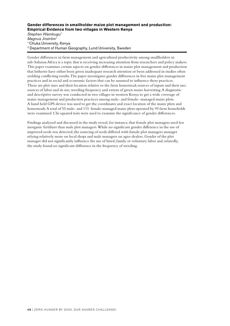#### **Gender differences in smallholder maize plot management and production: Empirical Evidence from two villages in Western Kenya**

*Stephen Wambugu1 Magnus Jirström1* <sup>1</sup> Chuka University, Kenya 2 Department of Human Geography, Lund University, Sweden

Gender differences in farm management and agricultural productivity among smallholders in sub-Saharan Africa is a topic that is receiving increasing attention from researchers and policy makers. This paper examines certain aspects on gender differences in maize plot management and production that hitherto have either been given inadequate research attention or been addressed in studies often yielding conflicting results. The paper investigates gender differences in five maize plot management practices and in social and economic factors that can be assumed to influence these practices. These are plot sizes and their location relative to the farm homestead; sources of inputs and their use; sources of labor and its use; weeding frequency and extent of green maize harvesting. A diagnostic and descriptive survey was conducted in two villages in western Kenya to get a wide coverage of maize management and production practices among male- and female- managed maize plots. A hand held GPS device was used to get the coordinates and exact location of the maize plots and homesteads. A total of 55 male- and 115 female-managed maize plots operated by 95 farm households were examined. Chi squared tests were used to examine the significance of gender differences.

Findings analyzed and discussed in the study reveal, for instance, that female plot managers used less inorganic fertilizer than male plot managers. While no significant gender difference in the use of improved seeds was detected, the sourcing of seeds differed with female plot managers manager relying relatively more on local shops and male managers on agro-dealers. Gender of the plot manager did not significantly influence the use of hired, family or voluntary labor and, relatedly, the study found no significant difference in the frequency of weeding.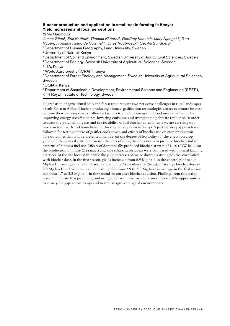### **Biochar production and application in small-scale farming in Kenya: Yield increases and local perceptions**

*Yahia Mahmoud1*

*James Gitau2, Erik Karltun3, Thomas Kätterer4, Geoffrey Kimutai5, Mary Njenga2, 6, Gert Nyberg7 , Kristina Roing de Nowina3, 8, Dries Roobroeck5, Cecilia Sundberg9* <sup>1</sup> Department of Human Geography, Lund University, Sweden

2 University of Nairobi, Kenya

3 Department of Soil and Environment, Swedish University of Agricultural Sciences, Sweden

4 Department of Ecology, Swedish University of Agricultural Sciences, Sweden

5 IITA, Kenya

6 World Agroforestry (ICRAF), Kenya

7 Department of Forest Ecology and Management, Swedish University of Agricultural Sciences, Sweden

8 CGIAR, Kenya

9 Department of Sustainable Development, Environmental Science and Engineering (SEED), KTH Royal Institute of Technology, Sweden

Degradation of agricultural soils and forest resources are two pervasive challenges in rural landscapes of sub-Saharan Africa. Biochar-producing biomass gasification technologies attract evermore interest because these can empower small-scale farmers to produce energy and food more sustainably by improving energy use efficiencies, lowering emissions and strengthening climate resilience. In order to assess the potential impacts and the feasibility of soil biochar amendments we are carrying out on-farm trials with 150 households in three agroecosystems in Kenya. A participatory approach was followed for testing uptake of gasifier cook stoves and effects of biochar use on crop production. The outcomes that will be presented include: (a) the degree of feasibility, (b) the effects on crop yields, (c) the general attitudes towards the idea of using the cookstoves to produce biochar, and (d) patterns of biomass fuel use. Effects of domestically produced biochar, at rates of 1-10 t DW ha-1, on the production of maize (Zea mays) and kale (Brassica oleracea) were compared with normal farming practices. At the site located in Kwale the yield increases of maize showed a strong positive correlation with biochar dose. In the first season, yields increased from 0.9 Mg ha-1 in the control plot to 4.4 Mg ha-1 in average in the biochar-amended plots. At another site (Siaya), an average biochar dose of 2.8 Mg ha-1 lead to an increase in maize yields from 2.9 to 3.8 Mg ha-1 in average in the first season and from 1.7 to 2.5 Mg ha-1 in the second season after biochar addition. Findings from this action research indicate that producing and using biochar on small-scale farms offers suitable opportunities to close yield gaps across Kenya and in similar agro-ecological environments.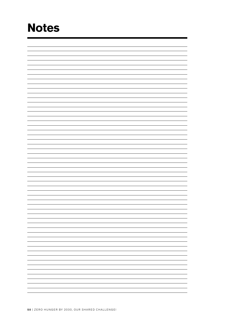# **Notes**

|  | $\overline{\phantom{0}}$ |
|--|--------------------------|
|  | $\overline{\phantom{0}}$ |
|  | $\overline{\phantom{0}}$ |
|  | $\overline{\phantom{0}}$ |
|  |                          |
|  |                          |
|  |                          |
|  |                          |
|  |                          |
|  | $\frac{1}{2}$            |
|  | $\overline{\phantom{0}}$ |
|  | $\overline{\phantom{0}}$ |
|  | $\overline{\phantom{0}}$ |
|  | -                        |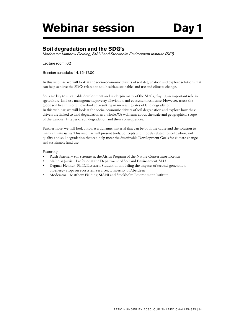# Webinar session Day 1

# **Soil degradation and the SDG's**

*Moderator: Matthew Fielding, SIANI and Stockholm Environment Institute (SEI)*

Lecture room: 02

Session schedule: 14.15-17.00

In this webinar, we will look at the socio-economic drivers of soil degradation and explore solutions that can help achieve the SDGs related to soil health, sustainable land use and climate change.

Soils are key to sustainable development and underpin many of the SDGs, playing an important role in agriculture, land use management, poverty alleviation and ecosystem resilience. However, across the globe soil health is often overlooked, resulting in increasing rates of land degradation. In this webinar, we will look at the socio-economic drivers of soil degradation and explore how these drivers are linked to land degradation as a whole. We will learn about the scale and geographical scope of the various (4) types of soil degradation and their consequences.

Furthermore, we will look at soil as a dynamic material that can be both the cause and the solution to many climate issues. This webinar will present tools, concepts and models related to soil carbon, soil quality and soil degradation that can help meet the Sustainable Development Goals for climate change and sustainable land use.

Featuring:

- Ruth Sitienei soil scientist at the Africa Program of the Nature Conservatory, Kenya
- Nicholas Jarvis Professor at the Department of Soil and Environment, SLU
- Dagmar Henner- Ph.D. Research Student on modeling the impacts of second-generation bioenergy crops on ecosystem services, University of Aberdeen
- Moderator Matthew Fielding, SIANI and Stockholm Environment Institute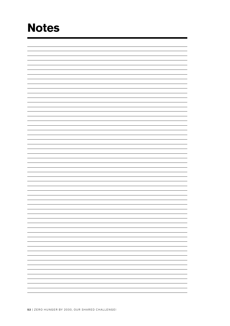# **Notes**

| $\frac{1}{2}$            |
|--------------------------|
| $\overline{\phantom{0}}$ |
| $\overline{\phantom{0}}$ |
| $\overline{\phantom{0}}$ |
| $\overline{\phantom{0}}$ |
| $\overline{\phantom{0}}$ |
|                          |
|                          |
|                          |
| $\sim$                   |
| —                        |
|                          |
| $\overline{\phantom{0}}$ |
| $\overline{\phantom{0}}$ |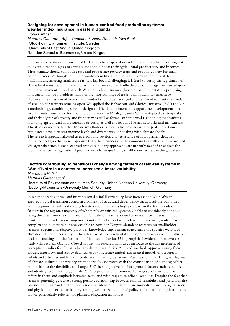## **Designing for development in human-centred food production systems: weather index insurance in eastern Uganda**

*Fiona Lambe1 Matthew Osborne1, Arjan Verschoor2, Naira Dehmel3, Ylva Ran1*

1 Stockholm Environment Institute, Sweden

2 University of East Anglia, United Kingdom

3 London School of Economics, United Kingdom

Climate variability causes small holder farmers to adopt risk-avoidance strategies like choosing not to invest in technologies or services that could boost their agricultural productivity and incomes. Thus, climate shocks can both cause and perpetuate poverty traps and food insecurity for small holder farmers. Although insurance would seem like an obvious approach to reduce risk for smallholders, insuring small scale farmers has been challenging: it is hard to verify the legitimacy of claims by the insurer and there is a risk that farmers can willfully destroy or damage the insured good to receive payment (moral hazard). Weather index insurance (based on satellite data) is a promising innovation that could address many of the shortcomings of traditional indemnity insurance. However, the question of how such a product should be packaged and delivered to meet the needs of smallholder farmers remains open. We applied the Behaviour and Choice Initiative (BCI) toolkit, a methodology combining service-design and field experiments to support the development of a weather index insurance for small holder farmers in Mbale, Uganda. We investigated existing risks and their degree of severity and frequency as well as formal and informal risk coping mechanisms, including agricultural and economic diversity as well as breadth of social networks and institutions. The study demonstrated that Mbale smallholders are not a homogeneous group of "poor famers", but instead have different income levels and diverse ways of dealing with climate shocks. The research approach allowed us to rigorously develop and test a range of appropriately designed insurance packages that were responsive to the heterogeneity of the communities with which we worked. We argue that such human-centred, transdisciplinary approaches are urgently needed to address the food insecurity and agricultural productivity challenges facing smallholder farmers in the global south.

# **Factors contributing to behavioral change among farmers of rain-fed systems in Côte dˈIvoire in a context of increased climate variability**

*Mar Moure Peña1*

*Matthias Garschagen2*

<sup>1</sup> Institute of Environment and Human Security, United Nations University, Germany 2 Ludwig-Maximilians-University Munich, Germany

In recent decades, intra- and inter-seasonal rainfall variability have increased in West African agro-ecological transition zones. In a context of structural dependency on agriculture combined with deep-rooted vulnerabilities, climate variability exerts high pressure on the livelihoods of farmers in the region, a majority of whom rely on rain-fed systems. Unable to confidently continue using the cues from the traditional rainfall calendar, farmers need to make critical decisions about planting times under increasing uncertainty. The choices farmers have to make in agriculture are complex and climate is but one variable to consider. Despite abundant research on smallholder farmers' coping and adaptive practices, knowledge gaps remain concerning the specific weight of climate-induced uncertainty in the interplay of environmental and cognitive factors which influence decision-making and the formation of habitual behavior. Using empirical evidence from two case study villages near Gagnoa, Côte dˈIvoire, this research aims to contribute to the advancement of perception studies for climate change adaptation and risk. A mixed-methods approach using focus groups, interviews and survey data was used to recreate underlying mental models of perception, beliefs and attitudes and link this to different planting behaviors. Results show that 1) higher degrees of climate-induced uncertainty are moderately associated with the continuation of planting habits rather than to the flexibility to change. 2) Other subjective and background factors such as beliefs and identity roles play a bigger role. 3) Perception of environmental changes and associated risks differs in focus and emphasis between sexes and with respect to official accounts. Despite the fact that farmers generally perceive a strong positive relationship between rainfall variability and yield loss, the salience of climate-related concerns is overshadowed by that of more immediate psychological, social and physical concerns, particularly among women. A number of policy and scientific implications are drawn, particularly relevant for planned adaptation initiatives.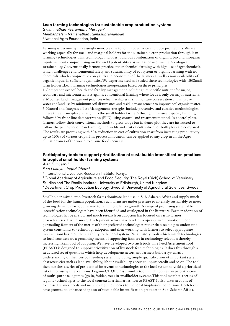#### **Lean farming technologies for sustainable crop production system:**

*Swaminathan Veeramuthu Murugan1 Melmangalam Ramanathan Ramasubramaniyan1* <sup>1</sup> National Agro Foundation, India

Farming is becoming increasingly unviable due to low productivity and poor profitability. We are working especially for small and marginal holders for the sustainable crop production through lean farming technologies. This technology includes judicious combination of organic, bio and inorganic inputs without compromising on the yield potentialities as well as environmental/ecological sustainability. Conventionally farmers practice either chemical farming with high use of agrochemicals which challenges environmental safety and sustainability of ecosystem or organic farming with no chemicals which compromises on yields and economics of the farmers as well as non availability of organic inputs in sufficient quantities. We experimented and scaled these technologies with 150Small farm holders.Lean farming technologies areoperating based on three principles 1.Comprehensive soil health and fertility management including site specific nutrient for major, secondary and micronutrients as against conventional farming where focus is only on major nutrients. 2. Modified land management practices which facilitates in situ moisture conservation and improve water and land use by minimum soil disturbance and residue management to improve soil organic matter. 3. Natural and Integrated Pest Management strategies include preventive and curative methodologies. These three principles are taught to the small holder farmer's through intensive capacity building followed by front line demonstration (FLD) using control and treatment method. In control plots, farmers follow their conventional methods to grow crops but in demo plot they are instructed to follow the principles of lean farming. The yields and cost of cultivation for both plots are compared. The results are promising with 50% reduction in cost of cultivation apart from increasing productivity up to 150% of various crops. This process innovation can be applied to any crop in all the Agro climatic zones of the world to ensure food security.

# **Participatory tools to support prioritization of sustainable intensification practices in tropical smallholder farming systems**

*Alan Duncan1, 2*

*Ben Lukuyu1, Ingrid Öborn3*

1 International Livestock Research Institute, Kenya

2 Global Academy of Agriculture and Food Security, The Royal (Dick) School of Veterinary Studies and The Roslin Institute, University of Edinburgh, United Kingdom 3 Department Crop Production Ecology, Swedish University of Agricultural Sciences, Sweden

Smallholder mixed crop-livestock farms dominate land use in Sub-Saharan Africa and supply much of the food for the human population. Such farms are under pressure to intensify sustainably to meet growing demands for food related to rapid population growth. A range of promising sustainable intensification technologies have been identified and catalogued in the literature. Farmer adoption of technologies has been slow and much research on adoption has focused on farm/farmer characteristics. Furthermore, development actors have tended to operate in "promotion mode", persuading farmers of the merits of their preferred technologies rather than seeking to understand system constraints to technology adoption and then working with farmers to select appropriate interventions based on the suitability to the local system. Participatory tools which match technologies to local contexts are a promising means of supporting farmers in technology selection thereby increasing likelihood of adoption. We have developed two such tools. The Feed Assessment Tool (FEAST) is designed to support prioritization of livestock feed technologies. It does this through a structured set of questions which help development actors and farmers build a systematic understanding of the livestock feeding system including simple quantification of important system characteristics such as land availability, labour availability, access to inputs/credit and so on. The tool then matches a series of pre-defined intervention technologies to the local system to yield a prioritized list of promising interventions. LegumeCHOICE is a similar tool which focuses on prioritization of multi-purpose legumes (grain, fodder, tree) in smallholder systems. This tool matches a series of legume technologies to the local context in a similar fashion to FEAST. It also takes account of expressed farmer needs and matches legume species to the local biophysical conditions. Both tools have promise to enhance adoption of sustainable intensification practices in Sub-Saharan Africa.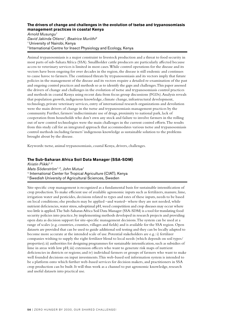### **The drivers of change and challenges in the evolution of tsetse and trypanosomiasis management practices in coastal Kenya**

*Arnold Musungu1 David Jakinda Otieno1, Beatrice Muriithi2* 1 University of Nairobi, Kenya 2 International Centre for Insect Physiology and Ecology, Kenya

Animal trypanosomiasis is a major constraint to livestock production and a threat to food security in most parts of sub-Sahara Africa (SSA). Smallholder cattle producers are particularly affected because access to veterinary services is limited in most cases. While control operations for the disease and its vectors have been ongoing for over decades in the region, the disease is still endemic and continues to cause havoc to farmers. The continued threats by trypanosomiasis and its vectors imply that future policies in the management of the disease and its vectors require a detailed re-examination of the past and ongoing control practices and methods so as to identify the gaps and challenges. This paper assessed the drivers of change and challenges in the evolution of tsetse and trypanosomiasis control practices and methods in coastal Kenya using recent data from focus group discussions (FGDs). Analysis reveals that population growth, indigenous knowledge, climate change, infrastructural development, technology, private veterinary services, entry of international research organizations and devolution were the main drivers of change in the tsetse and trypanosomiasis management practices by the community. Further, farmers' indiscriminate use of drugs, proximity to national park, lack of cooperation from households who don't own any stock and failure to involve farmers in the rolling out of new control technologies were the main challenges in the current control efforts. The results from this study call for an integrated approach that accommodates various tsetse and trypanosomiasis control methods including farmers' indigenous knowledge as sustainable solution to the problems brought about by the disease.

Keywords: tsetse, animal trypanosomiasis, coastal Kenya, drivers, challenges.

#### **The Sub-Saharan Africa Soil Data Manager (SSA-SDM)**

*Kristin Piikki1, 2 Mats Söderström1, 2, John Mutua1* <sup>1</sup> International Center for Tropical Agriculture (CIAT), Kenya 2 Swedish University of Agricultural Sciences, Sweden

Site-specific crop management is recognized as a fundamental basis for sustainable intensification of crop production. To make efficient use of available agronomic inputs such as fertilizers, manure, lime, irrigation water and pesticides, decisions related to types and rates of these inputs, needs to be based on local conditions; else products may be applied –and wasted– where they are not needed, while nutrient deficiencies, water stress, suboptimal pH, weed competition and crop diseases may occur where too little is applied. The Sub-Saharan Africa Soil Data Manager (SSA-SDM) is a tool for translating food security policies into practice, by implementing methods developed in research projects and providing open data as decision support for site-specific management decisions. The system can be used at a range of scales (e.g. countries, counties, villages and fields) and is available for the SSA region. Open datasets are provided that can be used to guide additional soil testing and they can be locally adapted to become more accurate at the intended scale of use. Potential stakeholders are e.g.: i) fertilizer companies wishing to supply the right fertilizer blend to local needs (which depends on soil types/ properties); ii) authorities for designing programmes for sustainable intensification, such as subsidies of lime in areas with low pH; iii) extension officers who want to generate risk maps of nutrient deficiencies in districts or regions; and iv) individual farmers or groups of farmers who want to make well founded decisions on input investments. This web-based soil information system is intended to be a platform onto which further web-based services for decision makers, and practitioners in SSA crop production can be built. It will thus work as a channel to put agronomic knowledge, research and useful datasets into practical use.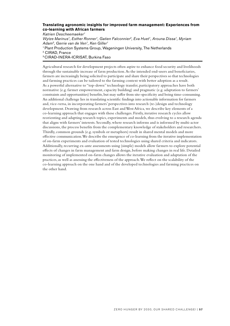# **Translating agronomic insights for improved farm management: Experiences from co-learning with African farmers**

*Katrien Descheemaeker1 Wytze Marinus1, Esther Ronner1, Gatien Falconnier2, Eva Huet1, Arouna Dissa1, Myriam Adam3, Gerrie van de Ven1, Ken Giller1* <sup>1</sup> Plant Production Systems Group, Wageningen University, The Netherlands 2 CIRAD, France 3 CIRAD-INERA-ICRISAT, Burkina Faso

Agricultural research for development projects often aspire to enhance food security and livelihoods through the sustainable increase of farm production. As the intended end-users and beneficiaries, farmers are increasingly being solicited to participate and share their perspectives so that technologies and farming practices can be tailored to the farming context with better adoption as a result. As a powerful alternative to "top-down" technology transfer, participatory approaches have both normative (e.g. farmer empowerment, capacity building) and pragmatic (e.g. adaptation to farmers' constraints and opportunities) benefits, but may suffer from site-specificity and being time-consuming. An additional challenge lies in translating scientific findings into actionable information for farmers and, vice-versa, in incorporating farmers' perspectives into research (re-)design and technology development. Drawing from research across East and West Africa, we describe key elements of a co-learning approach that engages with these challenges. Firstly, iterative research cycles allow reorienting and adapting research topics, experiments and models, thus evolving to a research agenda that aligns with farmers' interests. Secondly, where research informs and is informed by multi-actor discussions, the process benefits from the complementary knowledge of stakeholders and researchers. Thirdly, common grounds (e.g. symbols or metaphors) result in shared mental models and more effective communication. We describe the emergence of co-learning from the iterative implementation of on-farm experiments and evaluation of tested technologies using shared criteria and indicators. Additionally, recurring ex-ante assessments using (simple) models allow farmers to explore potential effects of changes in farm management and farm design, before making changes in real life. Detailed monitoring of implemented on-farm changes allows the iterative evaluation and adaptation of the practices, as well as assessing the effectiveness of the approach. We reflect on the scalability of the co-learning approach on the one hand and of the developed technologies and farming practices on the other hand.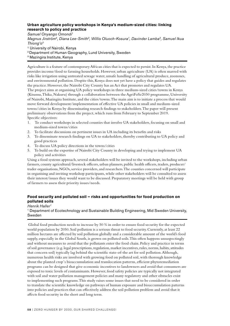# **Urban agriculture policy workshops in Kenya's medium-sized cities: linking research to policy and practice**

*Samuel Onyango Omondi1*

*Magnus Jirström2, Diana Lee-Smith3, Willis Oluoch-Kosura1, Davinder Lamba3, Samuel Ikua Thiong'o3*

<sup>1</sup> University of Nairobi, Kenya

2 Department of Human Geography, Lund University, Sweden

3 Mazingira Institute, Kenya

Agriculture is a feature of contemporary African cities that is expected to persist. In Kenya, the practice provides income/food to farming households. However, urban agriculture (UA) is often marred with risks like irrigation using untreated sewage water, unsafe handling of agricultural produce, zoonoses, and environmental pollution. Despite this, Kenya does not yet have a policy that guides and regulates the practice. However, the Nairobi City County has an Act that promotes and regulates UA. The project aims at organising UA policy workshops in three medium-sized cities/towns in Kenya (Kisumu, Thika, Nakuru) through a collaboration between the AgriFoSe2030 programme, University of Nairobi, Mazingira Institute, and the cities/towns. The main aim is to initiate a process that would move forward development/implementation of effective UA policies in small and medium-sized towns/cities in Kenya by disseminating research findings to stakeholders. The paper will present preliminary observations from the project, which runs from February to September 2019. Specific objectives:

- 1. To conduct workshops in selected counties that involve UA stakeholders, focusing on small and medium-sized towns/cities
- 2. To facilitate discussions on pertinent issues in UA including its benefits and risks
- 3. To disseminate research findings on UA to stakeholders, thereby contributing to UA policy and good practices
- 4. To discuss UA policy directions in the towns/cities
- 5. To build on the expertise of Nairobi City County in developing and trying to implement UA policy and activities

Using a food systems approach, several stakeholders will be invited to the workshops, including urban farmers, county agricultural/livestock officers, urban planners, public health officers, traders, producer/ trader organisations, NGOs, service providers, and researchers. The counties concerned will participate in organising and inviting workshop participants, while other stakeholders will be consulted to assess their interest/issues they would want to be discussed. Preparatory meetings will be held with group of farmers to assess their priority issues/needs.

# **Food security and polluted soil – risks and opportunities for food production on polluted soils**

*Henrik Haller1*

1 Department of Ecotechnology and Sustainable Building Engineering, Mid Sweden University, Sweden

 Global food production needs to increase by 50 % in order to ensure food security for the expected world population by 2050. Soil pollution is a serious threat to food security. Currently, at least 22 million hectares are affected by soil pollution globally and a considerable amount of the world's food supply, especially in the Global South, is grown on polluted soils. This often happens unsuspectingly and without measures to avoid that the pollutants enter the food chain. Policy and practice in terms of soil governance (e.g. legal prescriptions, regulation, market incentives, rules, norms, habits, attitudes that concern soil) typically lag behind the scientific state-of-the art for soil pollution. Although, numerous health risks are involved with growing food on polluted soil, with thorough knowledge about the planted crop´s bioaccumulation and translocation patterns, efficient phytoremediation programs can be designed that give economic incentives to landowners and avoid that consumers are exposed to toxic levels of contaminants. However, food safety policies are typically not integrated with soil and water pollution management policies and many regulatory and other obstacles exist to implementing such programs. This study raises some issues that need to be considered in order to translate the scientific knowledge on pathways of human exposure and bioaccumulation patterns into policies and practices that can effectively address the soil pollution problem and avoid that it affects food security in the short and long term.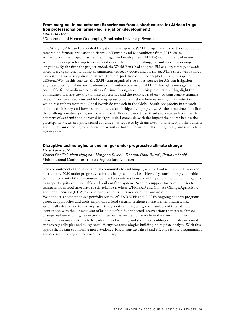#### **From marginal to mainstream: Experiences from a short course for African irrigation professional on farmer-led irrigation (development)** *Chris De Bont1*

1 Department of Human Geography, Stockholm University, Sweden

The Studying African Farmer-led Irrigation Development (SAFI) project and its partners conducted research on farmers' irrigation initiatives inTanzania and Mozambique from 2015-2018. At the start of the project, Farmer-Led Irrigation Development (FLI(D)) was a rather unknown academic concept referring to farmers taking the lead in establishing, expanding or improving irrigation. By the time the project ended, the World Bank had adopted FLI as a key strategy towards irrigation expansion, including an animation video,a website and a hashtag.While there was a shared interest in farmers' irrigation initiatives, the interpretation of the concept of FLI(D) was quite different.Within this context, the SAFI team organised two short courses for African irrigation engineers, policy makers and academics to introduce our vision of FLID through a message that was acceptable for an audience consisting of primarily engineers. In this presentation, I highlight the communication strategy, the training experience and the results, based on two consecutive training sessions, course evaluations and follow up questionnaires. I show how, especially in a context in which researchers from the Global North do research in the Global South, reciprocity in research and outreach is key,and how a shared interest can bridge diverging views.At the same time, I outline the challenges in doing this,and how we (partially) overcame these thanks to a research team with a variety of academic and personal backgrounds. I conclude with the impact the course had on the participants' views and professional activities – as reported by themselves – and reflect on the benefits and limitations of doing these outreach activities, both in terms of influencing policy and researchers' experiences.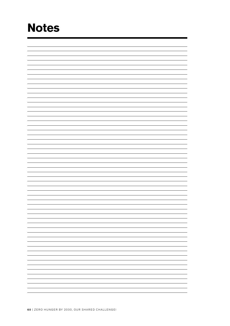# **Notes**

|  | $\overline{\phantom{0}}$ |
|--|--------------------------|
|  | $\overline{\phantom{0}}$ |
|  | $\overline{\phantom{0}}$ |
|  | $\overline{\phantom{0}}$ |
|  |                          |
|  |                          |
|  |                          |
|  |                          |
|  |                          |
|  | $\frac{1}{2}$            |
|  | $\overline{\phantom{0}}$ |
|  | $\overline{\phantom{0}}$ |
|  | $\overline{\phantom{0}}$ |
|  | -                        |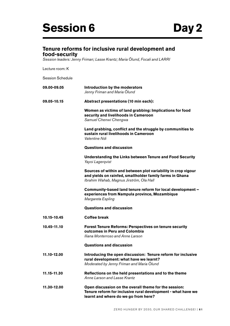

# **Tenure reforms for inclusive rural development and food-security**

*Session leaders: Jenny Friman; Lasse Krantz; Maria Ölund, Focali and LARRI*

Lecture room: K

Session Schedule

| 09.00-09.05 | Introduction by the moderators<br>Jenny Friman and Maria Ölund                                                                                                        |
|-------------|-----------------------------------------------------------------------------------------------------------------------------------------------------------------------|
| 09.05-10.15 | Abstract presentations (10 min each):                                                                                                                                 |
|             | Women as victims of land grabbing: Implications for food<br>security and livelihoods in Cameroon<br>Samuel Chenwi Chengwa                                             |
|             | Land grabbing, conflict and the struggle by communities to<br>sustain rural livelihoods in Cameroon<br>Valentine Ndi                                                  |
|             | <b>Questions and discussion</b>                                                                                                                                       |
|             | Understanding the Links between Tenure and Food Security<br>Yayoi Lagerqvist                                                                                          |
|             | Sources of within and between plot variability in crop vigour<br>and yields on rainfed, smallholder family farms in Ghana<br>Ibrahim Wahab, Magnus Jirström, Ola Hall |
|             | Community-based land tenure reform for local development -<br>experiences from Nampula province, Mozambique<br>Margareta Espling                                      |
|             | <b>Questions and discussion</b>                                                                                                                                       |
| 10.15-10.45 | <b>Coffee break</b>                                                                                                                                                   |
| 10.45-11.10 | <b>Forest Tenure Reforms: Perspectives on tenure security</b><br>outcomes in Peru and Colombia<br>Iliana Monterroso and Anne Larson                                   |
|             | <b>Questions and discussion</b>                                                                                                                                       |
| 11.10-12.00 | Introducing the open discussion: Tenure reform for inclusive<br>rural development: what have we learnt?<br>Moderated by Jenny Friman and Maria Ölund                  |
| 11.15-11.30 | Reflections on the held presentations and to the theme<br>Anne Larson and Lasse Krantz                                                                                |
| 11.30-12.00 | Open discussion on the overall theme for the session:<br>Tenure reform for inclusive rural development - what have we<br>learnt and where do we go from here?         |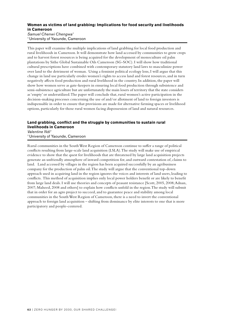#### **Women as victims of land grabbing: Implications for food security and livelihoods in Cameroon** *Samuel Chenwi Chengwa1*

1 University of Yaounde, Cameroon

This paper will examine the multiple implications of land grabbing for local food production and rural livelihoods in Cameroon. It will demonstrate how land accessed by communities to grow crops and to harvest forest resources is being acquired for the development of monoculture oil palm plantations by Sithe Global Sustainable Oils Cameroon (SG-SOC). I will show how traditional cultural prescriptions have combined with contemporary statutory land laws to masculinize power over land to the detriment of woman. Using a feminist political ecology lens, I will argue that this change in land use particularly erodes women's rights to access land and forest resources, and in turn negatively affects food production and rural livelihood in the country. In addition, the paper will show how women serve as gate-keepers in ensuring local food production through subsistence and semi-subsistence agriculture but are unfortunately the main losers of territory that the state considers as 'empty' or underutilized. The paper will conclude that, rural women's active participation in the decision-making processes concerning the use of and/or allotment of land to foreign investors is indispensable in order to ensure that provisions are made for alternative farming spaces or livelihood options, particularly for those rural women facing dispossession of land and natural resources.

# **Land grabbing, conflict and the struggle by communities to sustain rural livelihoods in Cameroon**

*Valentine Ndi1* 1 University of Yaounde, Cameroon

Rural communities in the South West Region of Cameroon continue to suffer a range of political conflicts resulting from large-scale land acquisition (LSLA). The study will make use of empirical evidence to show that the quest for livelihoods that are threatened by large land acquisition projects generate an unfriendly atmosphere of inward competition for, and outward contestation of, claims to land. Land accessed by villages in the region has been acquired successfully by an agribusiness company for the production of palm oil. The study will argue that the conventional top-down approach used in acquiring land in the region ignores the voices and interests of land users, leading to conflicts. This method of acquisition implies only local power holders benefit or are likely to benefit from large land deals. I will use theories and concepts of peasant resistance [Scott, 2005, 2008; Adnan, 2007; Malseed, 2008 and others] to explain how conflicts unfold in the region. The study will submit that in order for an agro project to succeed, and to guarantee peace and stability among local communities in the South West Region of Cameroon, there is a need to invert the conventional approach to foreign land acquisition – shifting from dominance by elite interests to one that is more participatory and people-centered.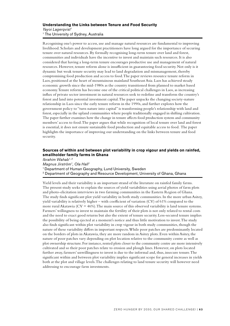#### **Understanding the Links between Tenure and Food Security**  *Yayoi Lagerqvist1* <sup>1</sup> The University of Sydney, Australia

Recognising one's power to access, use and manage natural resources are fundamental to improving livelihood. Scholars and development practitioners have long argued for the importance of securing tenure over natural resources. By formally recognising long-term tenure over land and forest, communities and individuals have the incentive to invest and maintain such resources. It is also considered that having a long-term tenure encourages productive use and management of natural resources. However, tenure reform alone is insufficient in guaranteeing food security. Not only is it dynamic but weak tenure security may lead to land degradation and mismanagement, thereby compromising food production and access to food. The paper reviews resource tenure reform in Laos, positioned at the heart of mountainous mainland Southeast Asia. Laos has achieved steady economic growth since the mid-1980s as the country transitioned from planned to market based economy. Tenure reform has become one of the critical political challenges in Laos, as increasing influx of private sector investment in natural resources seek to redefine and transform the country's forest and land into potential investment capital. The paper unpacks the changing society-nature relationship in Laos since the early tenure reform in the 1990s, and further explores how the government policy to "turn nature into capital" is transforming people's relationship with land and forest, especially in the upland communities where people traditionally engaged in shifting cultivation. The paper further examines how the change in tenure affects food production system and community members' access to food. The paper argues that while recognition of local tenure over land and forest is essential, it does not ensure sustainable food production and equitable access to food. The paper highlights the importance of improving our understanding on the links between tenure and food security.

# **Sources of within and between plot variability in crop vigour and yields on rainfed, smallholder family farms in Ghana**

*Ibrahim Wahab1, 2*

*Magnus Jirström1, Ola Hall1*

1 Department of Human Geography, Lund University, Sweden

<sup>2</sup> Department of Geography and Resource Development, University of Ghana, Ghana

Yield levels and their variability is an important strand of the literature on rainfed family farms. The present study seeks to explain the sources of yield variabilities using aerial photos of farm plots and photo-elicitation interviews in two farming communities in the Eastern Region of Ghana. The study finds significant plot yield variability in both study communities. In the more urban Asitey, yield variability is relatively higher – with coefficient of variation (CV) of 61% compared to the more rural Akatawia ( $CV = 46\%$ ). The main source of this observed variability is land tenure systems. Farmers' willingness to invest to maintain the fertility of their plots is not only related to rental costs and the need to exact good returns but also the extent of tenure security. Less-secured tenure implies the possibility of being ejected at a moment's notice and thus little motivation to invest. The study also finds significant within plot variability in crop vigour in both study communities, though the nature of these variability differs in important respects. While poor patches are predominantly located on the borders of plots in Akatawia, they are more random in Asitey plots. Even within Asitey, the nature of poor patches vary depending on plot location relative to the community centre as well as plot ownership structure. For instance, rented plots closer to the community centre are more intensively cultivated and so their poor patches relate to erosion and plough lines. However, on plots located further away, farmers' unwillingness to invest is due to the informal and, thus, insecure tenure. The significant within and between plot variability implies significant scope for general increases in yields both at the plot and village levels. The challenges relating to land tenure security will however need addressing to encourage farm investments.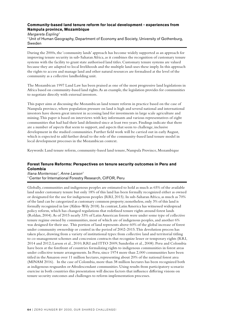# **Community-based land tenure reform for local development - experiences from Nampula province, Mozambique**

*Margareta Espling1* 1 Unit of Human Geography, Department of Economy and Society, University of Gothenburg, Sweden

During the 2000s, the 'community lands' approach has become widely supported as an approach for improving tenure security in sub-Saharan Africa, as it combines the recognition of customary tenure systems with the facility to grant state authorised land titles. Customary tenure systems are valued because they are adapted to local livelihoods and the multiple land-uses these imply. In this approach the rights to access and manage land and other natural resources are formalised at the level of the community as a collective landholding unit.

The Mozambican 1997 Land Law has been praised as one of the most progressive land legislations in Africa based on community-based land rights. As an example, the legislation provides for communities to negotiate directly with external investors.

This paper aims at discussing the Mozambican land tenure reform in practice based on the case of Nampula province, where population pressure on land is high and several national and international investors have shown great interest in accessing land for investments in large scale agriculture and mining. This paper is based on interviews with key informants and various representatives of eight communities that had had their land delimited since at least two years. Findings indicate that there are a number of aspects that seem to support, and aspects that seem to challenge, inclusive development in the studied communities. Further field work will be carried out in early August, which is expected to add further detail to the role of the community-based land tenure model in local development processes in the Mozambican context.

Keywords: Land tenure reform, community-based land tenure, Nampula Province, Mozambique

# **Forest Tenure Reforms: Perspectives on tenure security outcomes in Peru and Colombia**

*Iliana Monterroso1, Anne Larson1* 1 Center for International Forestry Research, CIFOR, Peru

Globally, communities and indigenous peoples are estimated to hold as much as 65% of the available land under customary tenure but only 18% of this land has been formally recognized either as owned or designated for the use for indigenous peoples (RRI, 2015). In sub-Saharan Africa, as much as 70% of the land can be categorized as customary common property; nonetheless, only 3% of this land is formally recognized in law (Alden-Wily 2018). In contrast, Latin America has witnessed widespread policy reform, which has changed regulations that redefined tenure rights around forest lands (Roldan, 2004). As of 2015 nearly 33% of Latin American forests were under some type of collective tenure regime owned by communities, most of which are of indigenous peoples, and another 6% was designed for their use. This portion of land represents above 60% of the global increase of forest under community ownership or control in the period of 2002-2015. This devolution process has taken place, drawing from a variety of institutional types: from collective land and territorial titling to co-management schemes and concession contracts that recognize lesser or temporary rights (RRI, 2014 and 2012; Larson et al., 2010; RRI and ITTO 2009; Sunderlin et al., 2008). Peru and Colombia have been at the forefront of countries formalizing rights to indigenous communities in forest areas under collective tenure arrangements. In Peru, since 1974 more than 2,000 communities have been titled in the Amazon over 11 million hectares, representing about 20% of the national forest area (MINAM 2016). In the case of Colombia, more than 38 million hectares has been recognized both as indigenous resguardos or Afrodescendant communities. Using results from participatory scenario exercise in both countries this presentation will discuss factors that influence differing visions on tenure security outcomes and challenges to reform implementation processes.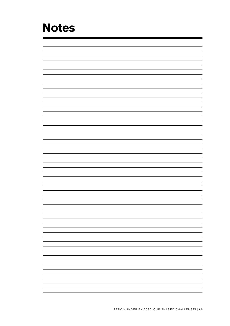# **Notes**

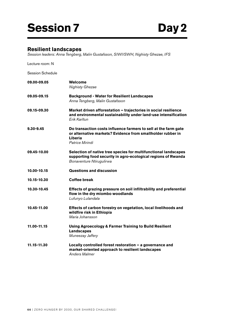# Session 7 Day 2

# **Resilient landscapes**

*Session leaders: Anna Tengberg, Malin Gustafsson, SIWI/SWH, Nighisty Ghezae, IFS*

Lecture room: N

Session Schedule

| 09.00-09.05 | Welcome<br><b>Nighisty Ghezae</b>                                                                                                                            |
|-------------|--------------------------------------------------------------------------------------------------------------------------------------------------------------|
| 09.05-09.15 | <b>Background - Water for Resilient Landscapes</b><br>Anna Tengberg, Malin Gustafsson                                                                        |
| 09.15-09.30 | Market driven afforestation - trajectories in social resilience<br>and environmental sustainability under land-use intensification<br>Frik Karltun           |
| 9.30-9.45   | Do transaction costs influence farmers to sell at the farm gate<br>or alternative markets? Evidence from smallholder rubber in<br>Liberia<br>Patrice Mirindi |
| 09.45-10.00 | Selection of native tree species for multifunctional landscapes<br>supporting food security in agro-ecological regions of Rwanda<br>Bonaventure Ntirugulirwa |
| 10.00-10.15 | <b>Questions and discussion</b>                                                                                                                              |
| 10.15-10.30 | <b>Coffee break</b>                                                                                                                                          |
| 10.30-10.45 | Effects of grazing pressure on soil infiltrability and preferential<br>flow in the dry miombo woodlands<br>Lufunyo Lulandala                                 |
| 10.45-11.00 | Effects of carbon forestry on vegetation, local livelihoods and<br>wildfire risk in Ethiopia<br>Maria Johansson                                              |
| 11.00-11.15 | <b>Using Agroecology &amp; Farmer Training to Build Resilient</b><br><b>Landscapes</b><br>Muneezay Jaffery                                                   |
| 11.15-11.30 | Locally controlled forest restoration - a governance and<br>market-oriented approach to resilient landscapes<br><b>Anders Malmer</b>                         |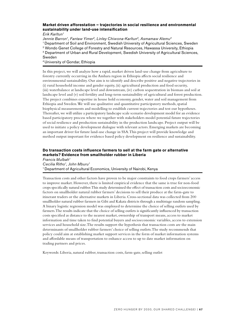# **Market driven afforestation – trajectories in social resilience and environmental sustainability under land-use intensification**

*Erik Karltun1*

*Jennie Barron1, Fantaw Yimer2, Linley Chiwona-Karltun3, Asmamaw Alemu4*

1 Department of Soil and Environment, Swedish University of Agricultural Sciences, Sweden

2 Wondo Genet College of Forestry and Natural Resources, Hawassa University, Ethiopia

3 Department of Urban and Rural Development, Swedish University of Agricultural Sciences, Sweden

#### 4 University of Gondar, Ethiopia

In this project, we will analyze how a rapid, market driven land-use change from agriculture to forestry currently occurring in the Amhara region in Ethiopia affects social resilience and environmental sustainability. Our aim is to identify and describe positive and negative trajectories in (i) rural household income and gender equity, (ii) agricultural production and food security, (iii) waterbalance at landscape level and downstream, (iv) carbon sequestration in biomass and soil at landscape level and (v) soil fertility and long-term sustainability of agricultural and forest production. The project combines expertise in house hold economy, gender, water and soil management from Ethiopia and Sweden. We will use qualitative and quantitative participatory methods, spatial biophysical measurements and modelling to establish current trajectories and test our hypotheses. Thereafter, we will utilize a participatory landscape scale scenario development model for an evidence based participatory process where we together with stakeholders model potential future trajectories of social resilience and production sustainability in the production landscape. Project output will be used to initiate a policy development dialogue with relevant actors. Emerging markets are becoming an important driver for future land-use change in SSA. This project will provide knowledge and method output important for evidence based policy development on resilience and sustainability.

# **Do transaction costs influence farmers to sell at the farm gate or alternative markets? Evidence from smallholder rubber in Liberia**

*Francis Mulbah1 Cecilia Ritho1, John Mburu1* <sup>1</sup> Department of Agricultural Economics, University of Nairobi, Kenya

Transaction costs and other factors have proven to be major constraints to food crops farmers' access to improve market. However, there is limited empirical evidence that the same is true for non-food crops specifically natural rubber. This study determined the effect of transaction costs and socioeconomic factors on smallholder natural rubber farmers' decisions to sell their produce at the farm-gate to itinerant traders or the alternative markets in Liberia. Cross-sectional data was collected from 200 smallholder natural rubber farmers in Gibi and Kakata districts through a multistage random sampling. A binary logistic regression model was employed to determine the choice of selling outlets used by farmers. The results indicate that the choice of selling outlets is significantly influenced by transaction costs specified as distance to the nearest market, ownership of transport means, access to market information and time taken to find potential buyers and socioeconomic variables, access to extension services and household size. The results support the hypothesis that transaction costs are the main determinants of smallholder rubber farmers' choice of selling outlets.The study recommends that policy could aim at establishing market support services in the form of market information systems and affordable means of transportation to enhance access to up to date market information on trading partners and prices.

Keywords: Liberia, natural rubber, transaction costs, farm-gate, selling outlet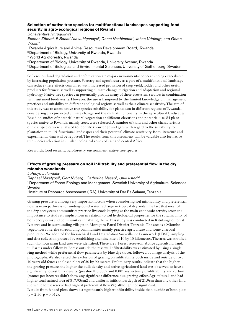### **Selection of native tree species for multifunctional landscapes supporting food security in agro-ecological regions of Rwanda**

*Bonaventure Ntirugulirwa1 Etienne Zibera2, E Bahati Ntawuhiganayo3, Donat Nsabimana4, Johan Uddling5, and Göran Wallin5*

1 Rwanda Agriculture and Animal Resources Development Board, Rwanda

2 Department of Biology, University of Rwanda, Rwanda

3 World Agroforestry, Rwanda

4 Department of Biology, University of Rwanda, University Avenue, Rwanda

5 Department of Biological and Environmental Sciences, University of Gothenburg, Sweden

Soil erosion, land degradation and deforestation are major environmental concerns being exacerbated by increasing population pressure. Forestry and agroforestry as a part of a multifunctional landscape can reduce these effects combined with increased provision of crop yield, fodder and other useful products for farmers as well as supporting climate change mitigation and adaptation and regional hydrology. Native tree species can potentially provide many of these ecosystem services in combination with sustained biodiversity. However, the use is hampered by the limited knowledge on management practices and suitability in different ecological regions as well as their climate sensitivity. The aim of this study was to assess native tree species suitability for plantation in different regions of Rwanda, considering also projected climate change and the multi-functionality in the agricultural landscapes. Based on studies of potential natural vegetation at different elevations and potential use, 84 plant species native to Rwanda, mainly trees, were selected. A number of traits and other characteristics of these species were analysed to identify knowledge and gaps with regard to the suitability for plantation in multi-functional landscapes and their potential climate sensitivity. Both literature and experimental data will be reported. The results from this assessment will be valuable also for native tree species selection in similar ecological zones of east and central Africa.

Keywords: food security, agroforestry, environment, native tree species

# **Effects of grazing pressure on soil infiltrability and preferential flow in the dry miombo woodlands**

*Lufunyo Lulandala1*

*Raphael Mwalyosi2, Gert Nyberg1, Catherine Masao2, Ulrik Ilstedt1* 1 Department of Forest Ecology and Management, Swedish University of Agricultural Sciences, Sweden

2 Institute of Resource Assessment (IRA), University of Dar Es Salaam, Tanzania

Grazing pressure is among very important factors when considering soil infiltrability and preferential flow as main pathways for underground water recharge in tropical drylands. The fact that most of the dry ecosystem communities practice livestock keeping as the main economic activity stress the importance to study its implications in relation to soil hydrological properties for the sustainability of both ecosystems and communities inhabiting them. This study was conducted in Kitulangalo Forest Reserve and its surrounding villages in Morogoro Rural District, Tanzania. The area is a Miombo vegetation zone, the surrounding communities mainly practice agriculture and some charcoal production. We adopted the hierarchical Land Degradation Surveillance Framework (LDSF) sampling and data collection protocol by establishing a sentinel site of 10 by 10 kilometres. The area was stratified such that four main land uses were identified. These are i. Forest reserve, ii. Active agricultural land, iii. Farms under fallow, iv. Forest outside the reserve. Infiltratability was estimated by using a single ring method while preferential flow parameters by blue dye tracer, followed by image analysis of the photographs. We also tested the exclusion of grazing on infiltrability both inside and outside of two 10 years old fences enclosed plots of 30 by 90 meters. Preliminary results indicate that the higher the grazing pressure, the higher the bulk density and active agricultural land was observed to have a significantly lowest bulk density (p-value  $= 0.0052$  and 0.001 respectively). Infiltrability and carbon (tonnes per hectare) didn't show any significant difference due grazing effect. Agricultural land had higher total stained area of 817.93cm2 and uniform infiltration depth of 21.9cm than any other land use while forest reserve had highest preferential flow (%) although not significant. Results from fenced plots showed a significantly higher infiltrability inside than outside of both plots

 $(t = 2.50, p = 0.012)$ .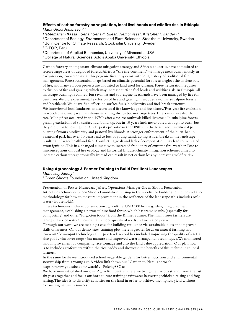#### **Effects of carbon forestry on vegetation, local livelihoods and wildfire risk in Ethiopia** *Maria Ulrika Johansson1, 2*

*Habtemariam Kassa3, Senait Senay4, Sileshi Nemomissa5, Kristoffer Hylander1, 2* 1 Department of Ecology, Environment and Plant Sciences, Stockholm University, Sweden 2 Bolin Centre for Climate Research, Stockholm University, Sweden 3 CIFOR, Peru 4 Department of Applied Economics, University of Minnesota, USA 5 College of Natural Sciences, Addis Ababa University, Ethiopia

Carbon forestry an important climate mitigation strategy and African countries have committed to restore large areas of degraded forests. Africa is "the fire continent" with large areas burnt, mostly in early-season, low-intensity anthropogenic fires in systems with long history of traditional fire management. Forest restoration maps based on climatic potential for forests neglect the ancient role of fire, and many carbon projects are allocated to land used for grazing. Forest restoration requires exclusion of fire and grazing, which may increase surface fuel loads and wildfire risk. In Ethiopia, all landscape burning is banned, but savannas and sub-alpine heathlands have been managed by fire for centuries. We did experimental exclusion of fire and grazing in wooded savanna, subalpine forests and heathlands. We quantified effects on surface fuels, biodiversity and fuel-break structure. We interviewed local landusers to discern local fire knowledge and fire history. Two-year fire exclusion in wooded savanna gave fire intensities killing shrubs but not large trees. Interviews revealed that tree-killing fires occurred in the 1970's after a tse-tse outbreak killed livestock. In subalpine forests, grazing exclusion led to surface fuel build-up, but in 10 years fuels never cured enough to burn, but they did burn following the Rinderpest epizootic in the 1890´s. In the heathlands traditional patch burning favours biodiversity and pastoral livelihoods. A stronger enforcement of the burn-ban in a national park has over 50 years lead to loss of young stands acting as fuel breaks in the landscape, resulting in larger heathland fires. Conflicting goals and lack of compensation may lead to increased arson ignition. This in a changed climate with increased frequency of extreme fire-weather. Due to misconceptions of local fire ecology and historical landuse, climate-mitigation schemes aimed to increase carbon storage ironically instead can result in net carbon loss by increasing wildfire risk.

#### **Using Agroecology & Farmer Training to Build Resilient Landscapes**

*Muneezay Jaffery1* 1 Green Shoots Foundation, United Kingdom

Presentation or Poster, Muneezay Jaffery, Operations Manager Green Shoots Foundation Introduce techniques Green Shoots Foundation is using in Cambodia for building resilience and also methodology for how to measure improvement in the resilience of the landscape (this includes soil/ water/ households).

These techniques include: conservation agriculture, USD 100 home garden, integrated pest management, establishing a permaculture food forest, which has trees/ shrubs (especially for composting) and other "forgotten foods" from the Khmer cuisine. The main issues farmers are facing is: lack of water/ sporadic rain/ poor quality of seeds and increased pests/

Through our work we are making a case for building resilience via sustainable diets and improved skills of farmers. On our demo-site/ training plot there is greater focus on natural farming and low-cost/ low-input technology. Our past track record has included improving the quality of a 4 Ha rice paddy via: cover crops/ bat manure and improved water management techniques. We monitored land improvement by comparing rice tonnage and also the land value appreciation. Our plan now is to include agroforestry within the rice paddy and showcase the benefits of this technique to local farmers.

In the same locale we introduced school vegetable gardens for better nutrition and environmental stewardship from a young age. A video link shows our "Garden to Plate" approach: https://www.youtube.com/watch?v=PokrkgSSGac

We have now established our own Agri-Tech centre where we bring the various strands from the last six years together and focus on: horticulture training/ rainwater harvesting/chicken raising and frog raising. The idea is to diversify activities on the land in order to achieve the highest yield without exhausting natural resources.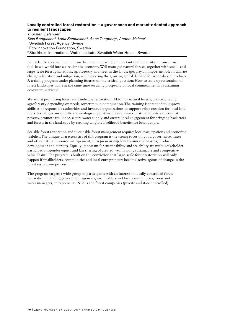## **Locally controlled forest restoration – a governance and market-oriented approach to resilient landscapes**

*Thorsten Celander1 Klas Bengtsson2, Lotta Samuelson3, Anna Tengberg3, Anders Malmer1* <sup>1</sup> Swedish Forest Agency, Sweden 2 Eco-Innovation Foundation, Sweden 3 Stockholm International Water Institute, Swedish Water House, Sweden Forest landscapes will in the future become increasingly important in the transition from a fossil

fuel-based world into a circular bio-economy. Well managed natural forests, together with small- and large-scale forest plantations, agroforestry and trees in the landscape, play an important role in climate change adaptation and mitigation, while meeting the growing global demand for wood-based products. A training program under planning focuses on the critical question: How to scale up restoration of forest landscapes while at the same time securing prosperity of local communities and sustaining ecosystem services?

We aim at promoting forest and landscape restoration (FLR) for natural forests, plantations and agroforestry depending on needs, sometimes in combination. The training is intended to improve abilities of responsible authorities and involved organizations to support value creation for local land users. Socially, economically and ecologically sustainable use, even of natural forests, can combat poverty, promote resilience, secure water supply and ensure local engagement for bringing back trees and forests in the landscape by creating tangible livelihood benefits for local people.

Scalable forest restoration and sustainable forest management requires local participation and economic viability. The unique characteristics of this program is the strong focus on good governance, water and other natural resource management, entrepreneurship, local business scenarios, product development and markets. Equally important for sustainability and scalability are multi-stakeholder participation, gender equity and fair sharing of created wealth along sustainable and competitive value chains. The program is built on the conviction that large-scale forest restoration will only happen if smallholders, communities and local entrepreneurs become active agents of change in the forest restoration process.

The program targets a wide group of participants with an interest in locally controlled forest restoration including government agencies, smallholders and local communities, forest and water managers, entrepreneurs, NGOs and forest companies (private and state controlled).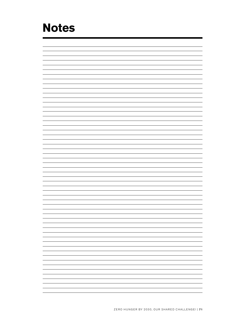# **Notes**